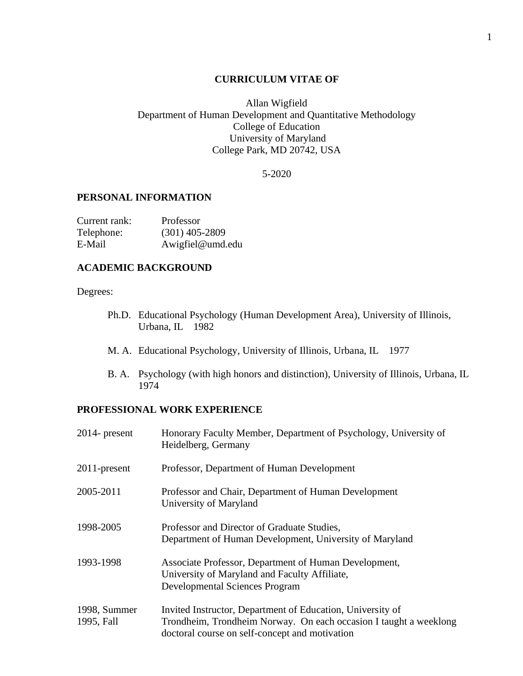#### **CURRICULUM VITAE OF**

Allan Wigfield Department of Human Development and Quantitative Methodology College of Education University of Maryland College Park, MD 20742, USA

5-2020

### **PERSONAL INFORMATION**

| Current rank: | Professor        |
|---------------|------------------|
| Telephone:    | $(301)$ 405-2809 |
| E-Mail        | Awigfiel@umd.edu |

### **ACADEMIC BACKGROUND**

#### Degrees:

- Ph.D. Educational Psychology (Human Development Area), University of Illinois, Urbana, IL 1982
- M. A. Educational Psychology, University of Illinois, Urbana, IL 1977
- B. A. Psychology (with high honors and distinction), University of Illinois, Urbana, IL 1974

## **PROFESSIONAL WORK EXPERIENCE**

| $2014$ - present           | Honorary Faculty Member, Department of Psychology, University of<br>Heidelberg, Germany                                                                                           |
|----------------------------|-----------------------------------------------------------------------------------------------------------------------------------------------------------------------------------|
| $2011$ -present            | Professor, Department of Human Development                                                                                                                                        |
| 2005-2011                  | Professor and Chair, Department of Human Development<br>University of Maryland                                                                                                    |
| 1998-2005                  | Professor and Director of Graduate Studies,<br>Department of Human Development, University of Maryland                                                                            |
| 1993-1998                  | Associate Professor, Department of Human Development,<br>University of Maryland and Faculty Affiliate,<br><b>Developmental Sciences Program</b>                                   |
| 1998, Summer<br>1995, Fall | Invited Instructor, Department of Education, University of<br>Trondheim, Trondheim Norway. On each occasion I taught a weeklong<br>doctoral course on self-concept and motivation |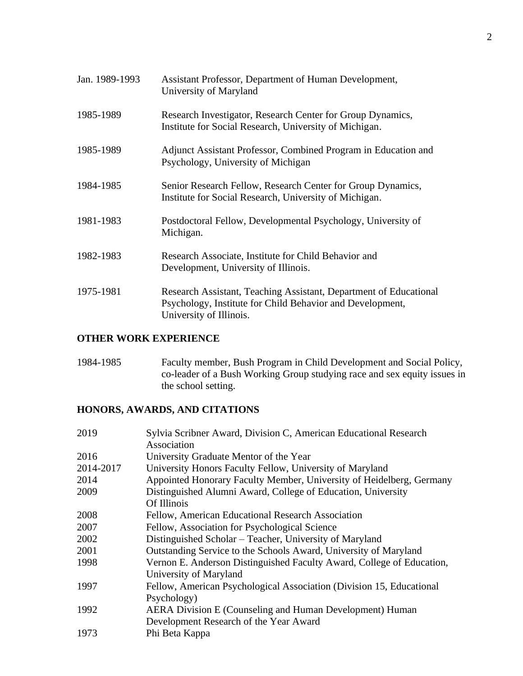| Jan. 1989-1993 | Assistant Professor, Department of Human Development,<br>University of Maryland                                                                           |
|----------------|-----------------------------------------------------------------------------------------------------------------------------------------------------------|
| 1985-1989      | Research Investigator, Research Center for Group Dynamics,<br>Institute for Social Research, University of Michigan.                                      |
| 1985-1989      | Adjunct Assistant Professor, Combined Program in Education and<br>Psychology, University of Michigan                                                      |
| 1984-1985      | Senior Research Fellow, Research Center for Group Dynamics,<br>Institute for Social Research, University of Michigan.                                     |
| 1981-1983      | Postdoctoral Fellow, Developmental Psychology, University of<br>Michigan.                                                                                 |
| 1982-1983      | Research Associate, Institute for Child Behavior and<br>Development, University of Illinois.                                                              |
| 1975-1981      | Research Assistant, Teaching Assistant, Department of Educational<br>Psychology, Institute for Child Behavior and Development,<br>University of Illinois. |

## **OTHER WORK EXPERIENCE**

1984-1985 Faculty member, Bush Program in Child Development and Social Policy, co-leader of a Bush Working Group studying race and sex equity issues in the school setting.

# **HONORS, AWARDS, AND CITATIONS**

| Sylvia Scribner Award, Division C, American Educational Research<br>Association |
|---------------------------------------------------------------------------------|
| University Graduate Mentor of the Year                                          |
| University Honors Faculty Fellow, University of Maryland                        |
| Appointed Honorary Faculty Member, University of Heidelberg, Germany            |
| Distinguished Alumni Award, College of Education, University                    |
| Of Illinois                                                                     |
| Fellow, American Educational Research Association                               |
| Fellow, Association for Psychological Science                                   |
| Distinguished Scholar - Teacher, University of Maryland                         |
| Outstanding Service to the Schools Award, University of Maryland                |
| Vernon E. Anderson Distinguished Faculty Award, College of Education,           |
| University of Maryland                                                          |
| Fellow, American Psychological Association (Division 15, Educational            |
| Psychology)                                                                     |
| AERA Division E (Counseling and Human Development) Human                        |
| Development Research of the Year Award                                          |
| Phi Beta Kappa                                                                  |
|                                                                                 |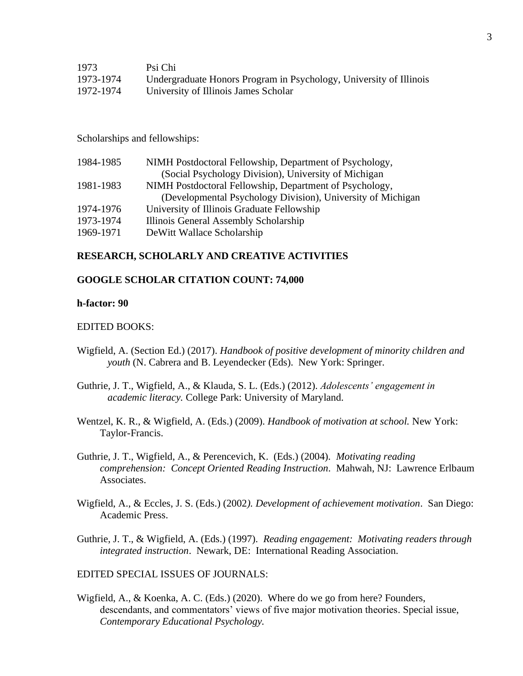| 1973      | Psi Chi                                                            |
|-----------|--------------------------------------------------------------------|
| 1973-1974 | Undergraduate Honors Program in Psychology, University of Illinois |
| 1972-1974 | University of Illinois James Scholar                               |

Scholarships and fellowships:

| 1984-1985 | NIMH Postdoctoral Fellowship, Department of Psychology,     |
|-----------|-------------------------------------------------------------|
|           | (Social Psychology Division), University of Michigan        |
| 1981-1983 | NIMH Postdoctoral Fellowship, Department of Psychology,     |
|           | (Developmental Psychology Division), University of Michigan |
| 1974-1976 | University of Illinois Graduate Fellowship                  |
| 1973-1974 | Illinois General Assembly Scholarship                       |
| 1969-1971 | DeWitt Wallace Scholarship                                  |

### **RESEARCH, SCHOLARLY AND CREATIVE ACTIVITIES**

#### **GOOGLE SCHOLAR CITATION COUNT: 74,000**

#### **h-factor: 90**

#### EDITED BOOKS:

- Wigfield, A. (Section Ed.) (2017). *Handbook of positive development of minority children and youth* (N. Cabrera and B. Leyendecker (Eds). New York: Springer.
- Guthrie, J. T., Wigfield, A., & Klauda, S. L. (Eds.) (2012). *Adolescents' engagement in academic literacy.* College Park: University of Maryland.
- Wentzel, K. R., & Wigfield, A. (Eds.) (2009). *Handbook of motivation at school.* New York: Taylor-Francis.
- Guthrie, J. T., Wigfield, A., & Perencevich, K. (Eds.) (2004). *Motivating reading comprehension: Concept Oriented Reading Instruction.* Mahwah, NJ: Lawrence Erlbaum Associates.
- Wigfield, A., & Eccles, J. S. (Eds.) (2002*). Development of achievement motivation*. San Diego: Academic Press.
- Guthrie, J. T., & Wigfield, A. (Eds.) (1997). *Reading engagement: Motivating readers through integrated instruction*. Newark, DE: International Reading Association.

EDITED SPECIAL ISSUES OF JOURNALS:

Wigfield, A., & Koenka, A. C. (Eds.) (2020). Where do we go from here? Founders, descendants, and commentators' views of five major motivation theories. Special issue, *Contemporary Educational Psychology.*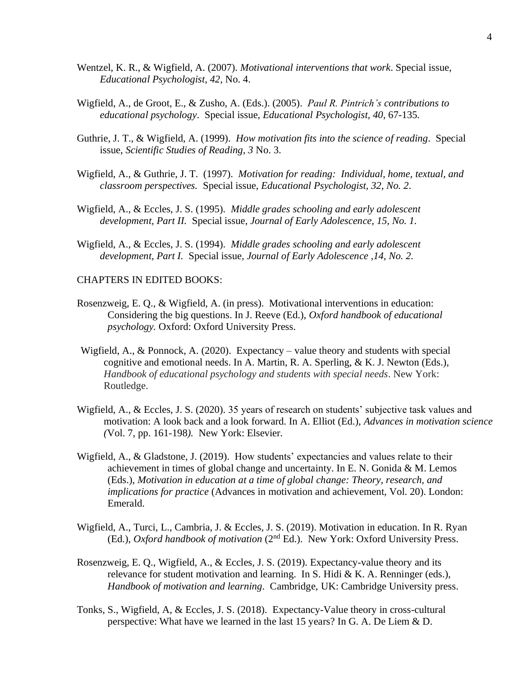- Wentzel, K. R., & Wigfield, A. (2007). *Motivational interventions that work*. Special issue, *Educational Psychologist, 42,* No. 4.
- Wigfield, A., de Groot, E., & Zusho, A. (Eds.). (2005). *Paul R. Pintrich's contributions to educational psychology*. Special issue, *Educational Psychologist, 40*, 67-135*.*
- Guthrie, J. T., & Wigfield, A. (1999). *How motivation fits into the science of reading*. Special issue, *Scientific Studies of Reading, 3* No. 3.
- Wigfield, A., & Guthrie, J. T. (1997). *Motivation for reading: Individual, home, textual, and classroom perspectives.* Special issue, *Educational Psychologist, 32, No. 2*.
- Wigfield, A., & Eccles, J. S. (1995). *Middle grades schooling and early adolescent development, Part II.* Special issue*, Journal of Early Adolescence, 15, No. 1.*
- Wigfield, A., & Eccles, J. S. (1994). *Middle grades schooling and early adolescent development, Part I.* Special issue*, Journal of Early Adolescence ,14, No. 2.*

#### CHAPTERS IN EDITED BOOKS:

- Rosenzweig, E. Q., & Wigfield, A. (in press). Motivational interventions in education: Considering the big questions. In J. Reeve (Ed.), *Oxford handbook of educational psychology.* Oxford: Oxford University Press.
- Wigfield, A., & Ponnock, A. (2020). Expectancy value theory and students with special cognitive and emotional needs. In A. Martin, R. A. Sperling, & K. J. Newton (Eds.), *Handbook of educational psychology and students with special needs*. New York: Routledge.
- Wigfield, A., & Eccles, J. S. (2020). 35 years of research on students' subjective task values and motivation: A look back and a look forward. In A. Elliot (Ed.), *Advances in motivation science (*Vol. 7, pp. 161-198*).* New York: Elsevier*.*
- Wigfield, A., & Gladstone, J. (2019). How students' expectancies and values relate to their achievement in times of global change and uncertainty. In E. N. Gonida & M. Lemos (Eds.), *Motivation in education at a time of global change: Theory, research, and implications for practice* (Advances in motivation and achievement, Vol. 20). London: Emerald.
- Wigfield, A., Turci, L., Cambria, J. & Eccles, J. S. (2019). Motivation in education. In R. Ryan (Ed.), *Oxford handbook of motivation* (2nd Ed.). New York: Oxford University Press.
- Rosenzweig, E. Q., Wigfield, A., & Eccles, J. S. (2019). Expectancy-value theory and its relevance for student motivation and learning. In S. Hidi & K. A. Renninger (eds.), *Handbook of motivation and learning*. Cambridge, UK: Cambridge University press.
- Tonks, S., Wigfield, A, & Eccles, J. S. (2018). Expectancy-Value theory in cross-cultural perspective: What have we learned in the last 15 years? In G. A. De Liem & D.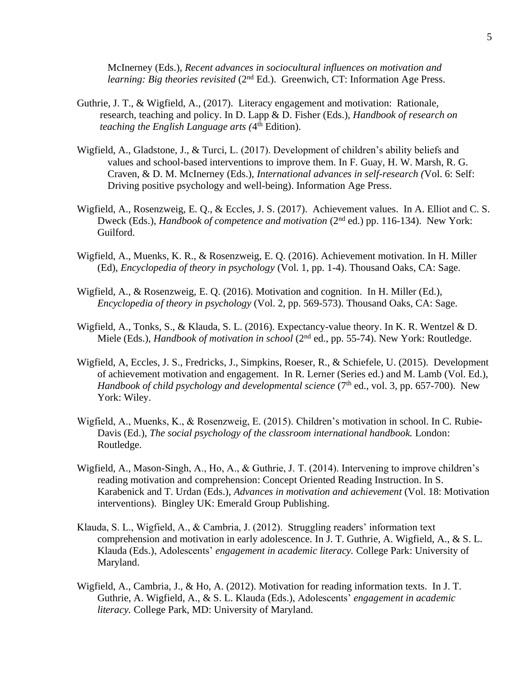McInerney (Eds.), *Recent advances in sociocultural influences on motivation and learning: Big theories revisited* (2<sup>nd</sup> Ed.). Greenwich, CT: Information Age Press.

- Guthrie, J. T., & Wigfield, A., (2017). Literacy engagement and motivation: Rationale, research, teaching and policy. In D. Lapp & D. Fisher (Eds.), *Handbook of research on*  teaching the English Language arts (4<sup>th</sup> Edition).
- Wigfield, A., Gladstone, J., & Turci, L. (2017). Development of children's ability beliefs and values and school-based interventions to improve them. In F. Guay, H. W. Marsh, R. G. Craven, & D. M. McInerney (Eds.), *International advances in self-research (*Vol. 6: Self: Driving positive psychology and well-being). Information Age Press.
- Wigfield, A., Rosenzweig, E. Q., & Eccles, J. S. (2017). Achievement values. In A. Elliot and C. S. Dweck (Eds.), *Handbook of competence and motivation* (2<sup>nd</sup> ed.) pp. 116-134). New York: Guilford.
- Wigfield, A., Muenks, K. R., & Rosenzweig, E. Q. (2016). Achievement motivation. In H. Miller (Ed), *Encyclopedia of theory in psychology* (Vol. 1, pp. 1-4). Thousand Oaks, CA: Sage.
- Wigfield, A., & Rosenzweig, E. Q. (2016). Motivation and cognition. In H. Miller (Ed.), *Encyclopedia of theory in psychology* (Vol. 2, pp. 569-573). Thousand Oaks, CA: Sage.
- Wigfield, A., Tonks, S., & Klauda, S. L. (2016). Expectancy-value theory. In K. R. Wentzel & D. Miele (Eds.), *Handbook of motivation in school* (2nd ed., pp. 55-74). New York: Routledge.
- Wigfield, A, Eccles, J. S., Fredricks, J., Simpkins, Roeser, R., & Schiefele, U. (2015). Development of achievement motivation and engagement. In R. Lerner (Series ed.) and M. Lamb (Vol. Ed.), *Handbook of child psychology and developmental science* (7<sup>th</sup> ed., vol. 3, pp. 657-700). New York: Wiley.
- Wigfield, A., Muenks, K., & Rosenzweig, E. (2015). Children's motivation in school. In C. Rubie-Davis (Ed.), *The social psychology of the classroom international handbook.* London: Routledge.
- Wigfield, A., Mason-Singh, A., Ho, A., & Guthrie, J. T. (2014). Intervening to improve children's reading motivation and comprehension: Concept Oriented Reading Instruction. In S. Karabenick and T. Urdan (Eds.), *Advances in motivation and achievement* (Vol. 18: Motivation interventions). Bingley UK: Emerald Group Publishing.
- Klauda, S. L., Wigfield, A., & Cambria, J. (2012). Struggling readers' information text comprehension and motivation in early adolescence. In J. T. Guthrie, A. Wigfield, A., & S. L. Klauda (Eds.), Adolescents' *engagement in academic literacy.* College Park: University of Maryland.
- Wigfield, A., Cambria, J., & Ho, A. (2012). Motivation for reading information texts. In J. T. Guthrie, A. Wigfield, A., & S. L. Klauda (Eds.), Adolescents' *engagement in academic literacy.* College Park, MD: University of Maryland.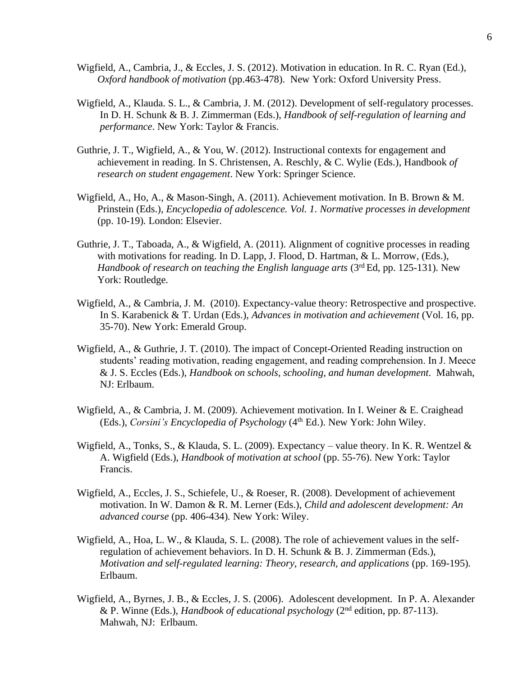- Wigfield, A., Cambria, J., & Eccles, J. S. (2012). Motivation in education. In R. C. Ryan (Ed.), *Oxford handbook of motivation* (pp.463-478). New York: Oxford University Press.
- Wigfield, A., Klauda. S. L., & Cambria, J. M. (2012). Development of self-regulatory processes. In D. H. Schunk & B. J. Zimmerman (Eds.), *Handbook of self-regulation of learning and performance*. New York: Taylor & Francis.
- Guthrie, J. T., Wigfield, A., & You, W. (2012). Instructional contexts for engagement and achievement in reading. In S. Christensen, A. Reschly, & C. Wylie (Eds.), Handbook *of research on student engagement*. New York: Springer Science.
- Wigfield, A., Ho, A., & Mason-Singh, A. (2011). Achievement motivation. In B. Brown & M. Prinstein (Eds.), *Encyclopedia of adolescence. Vol. 1. Normative processes in development* (pp. 10-19)*.* London: Elsevier.
- Guthrie, J. T., Taboada, A., & Wigfield, A. (2011). Alignment of cognitive processes in reading with motivations for reading. In D. Lapp, J. Flood, D. Hartman, & L. Morrow, (Eds.), *Handbook of research on teaching the English language arts* (3rd Ed, pp. 125-131)*.* New York: Routledge.
- Wigfield, A., & Cambria, J. M. (2010). Expectancy-value theory: Retrospective and prospective. In S. Karabenick & T. Urdan (Eds.), *Advances in motivation and achievement* (Vol. 16, pp. 35-70). New York: Emerald Group.
- Wigfield, A., & Guthrie, J. T. (2010). The impact of Concept-Oriented Reading instruction on students' reading motivation, reading engagement, and reading comprehension. In J. Meece & J. S. Eccles (Eds.), *Handbook on schools, schooling, and human development*. Mahwah, NJ: Erlbaum.
- Wigfield, A., & Cambria, J. M. (2009). Achievement motivation. In I. Weiner & E. Craighead (Eds.), *Corsini's Encyclopedia of Psychology* (4th Ed.). New York: John Wiley.
- Wigfield, A., Tonks, S., & Klauda, S. L. (2009). Expectancy value theory. In K. R. Wentzel & A. Wigfield (Eds.), *Handbook of motivation at school* (pp. 55-76). New York: Taylor Francis.
- Wigfield, A., Eccles, J. S., Schiefele, U., & Roeser, R. (2008). Development of achievement motivation. In W. Damon & R. M. Lerner (Eds.), *Child and adolescent development: An advanced course* (pp. 406-434)*.* New York: Wiley.
- Wigfield, A., Hoa, L. W., & Klauda, S. L. (2008). The role of achievement values in the selfregulation of achievement behaviors. In D. H. Schunk & B. J. Zimmerman (Eds.), *Motivation and self-regulated learning: Theory, research, and applications* (pp. 169-195)*.*  Erlbaum.
- Wigfield, A., Byrnes, J. B., & Eccles, J. S. (2006). Adolescent development. In P. A. Alexander & P. Winne (Eds.), *Handbook of educational psychology* (2nd edition, pp. 87-113). Mahwah, NJ: Erlbaum.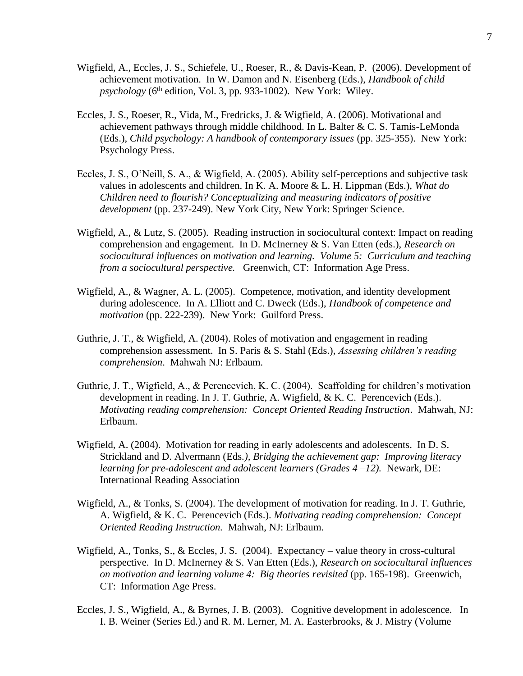- Wigfield, A., Eccles, J. S., Schiefele, U., Roeser, R., & Davis-Kean, P. (2006). Development of achievement motivation. In W. Damon and N. Eisenberg (Eds.), *Handbook of child psychology* (6<sup>th</sup> edition, Vol. 3, pp. 933-1002). New York: Wiley.
- Eccles, J. S., Roeser, R., Vida, M., Fredricks, J. & Wigfield, A. (2006). Motivational and achievement pathways through middle childhood. In L. Balter & C. S. Tamis-LeMonda (Eds.), *Child psychology: A handbook of contemporary issues* (pp. 325-355). New York: Psychology Press.
- Eccles, J. S., O'Neill, S. A., & Wigfield, A. (2005). Ability self-perceptions and subjective task values in adolescents and children. In K. A. Moore & L. H. Lippman (Eds.), *What do Children need to flourish? Conceptualizing and measuring indicators of positive development* (pp. 237-249). New York City, New York: Springer Science.
- Wigfield, A., & Lutz, S. (2005). Reading instruction in sociocultural context: Impact on reading comprehension and engagement. In D. McInerney & S. Van Etten (eds.), *Research on sociocultural influences on motivation and learning. Volume 5: Curriculum and teaching from a sociocultural perspective.* Greenwich, CT: Information Age Press.
- Wigfield, A., & Wagner, A. L. (2005). Competence, motivation, and identity development during adolescence. In A. Elliott and C. Dweck (Eds.), *Handbook of competence and motivation* (pp. 222-239). New York: Guilford Press.
- Guthrie, J. T., & Wigfield, A. (2004). Roles of motivation and engagement in reading comprehension assessment. In S. Paris & S. Stahl (Eds.), *Assessing children's reading comprehension*. Mahwah NJ: Erlbaum.
- Guthrie, J. T., Wigfield, A., & Perencevich, K. C. (2004). Scaffolding for children's motivation development in reading. In J. T. Guthrie, A. Wigfield, & K. C. Perencevich (Eds.). *Motivating reading comprehension: Concept Oriented Reading Instruction*. Mahwah, NJ: Erlbaum.
- Wigfield, A. (2004). Motivation for reading in early adolescents and adolescents. In D. S. Strickland and D. Alvermann (Eds*.), Bridging the achievement gap: Improving literacy learning for pre-adolescent and adolescent learners (Grades 4 –12).* Newark, DE: International Reading Association
- Wigfield, A., & Tonks, S. (2004). The development of motivation for reading. In J. T. Guthrie, A. Wigfield, & K. C. Perencevich (Eds.). *Motivating reading comprehension: Concept Oriented Reading Instruction.* Mahwah, NJ: Erlbaum.
- Wigfield, A., Tonks, S., & Eccles, J. S. (2004). Expectancy value theory in cross-cultural perspective. In D. McInerney & S. Van Etten (Eds.), *Research on sociocultural influences on motivation and learning volume 4: Big theories revisited* (pp. 165-198). Greenwich, CT: Information Age Press.
- Eccles, J. S., Wigfield, A., & Byrnes, J. B. (2003). Cognitive development in adolescence. In I. B. Weiner (Series Ed.) and R. M. Lerner, M. A. Easterbrooks, & J. Mistry (Volume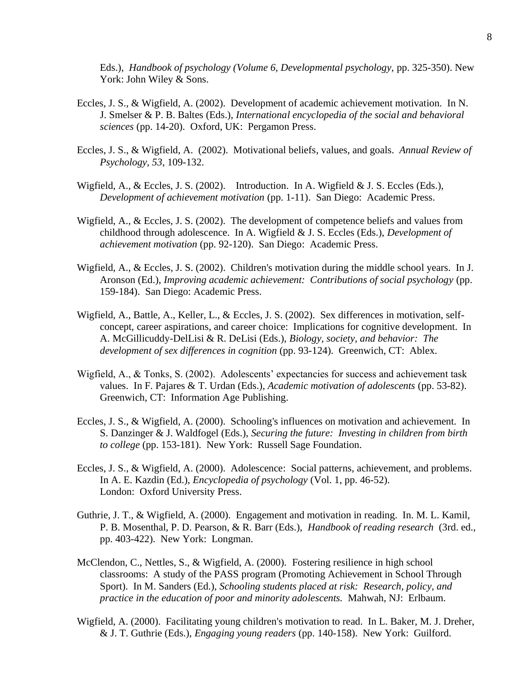Eds.), *Handbook of psychology (Volume 6, Developmental psychology,* pp. 325-350). New York: John Wiley & Sons.

- Eccles, J. S., & Wigfield, A. (2002). Development of academic achievement motivation. In N. J. Smelser & P. B. Baltes (Eds.), *International encyclopedia of the social and behavioral sciences* (pp. 14-20). Oxford, UK: Pergamon Press.
- Eccles, J. S., & Wigfield, A. (2002). Motivational beliefs, values, and goals. *Annual Review of Psychology, 53*, 109-132.
- Wigfield, A., & Eccles, J. S. (2002). Introduction. In A. Wigfield & J. S. Eccles (Eds.), *Development of achievement motivation* (pp. 1-11). San Diego: Academic Press.
- Wigfield, A., & Eccles, J. S. (2002). The development of competence beliefs and values from childhood through adolescence. In A. Wigfield & J. S. Eccles (Eds.), *Development of achievement motivation* (pp. 92-120). San Diego: Academic Press.
- Wigfield, A., & Eccles, J. S. (2002). Children's motivation during the middle school years. In J. Aronson (Ed.), *Improving academic achievement: Contributions of social psychology* (pp. 159-184). San Diego: Academic Press.
- Wigfield, A., Battle, A., Keller, L., & Eccles, J. S. (2002). Sex differences in motivation, selfconcept, career aspirations, and career choice: Implications for cognitive development. In A. McGillicuddy-DelLisi & R. DeLisi (Eds.), *Biology, society, and behavior: The development of sex differences in cognition* (pp. 93-124). Greenwich, CT: Ablex.
- Wigfield, A., & Tonks, S. (2002). Adolescents' expectancies for success and achievement task values. In F. Pajares & T. Urdan (Eds.), *Academic motivation of adolescents* (pp. 53-82). Greenwich, CT: Information Age Publishing.
- Eccles, J. S., & Wigfield, A. (2000). Schooling's influences on motivation and achievement. In S. Danzinger & J. Waldfogel (Eds.), *Securing the future: Investing in children from birth to college* (pp. 153-181). New York: Russell Sage Foundation.
- Eccles, J. S., & Wigfield, A. (2000). Adolescence: Social patterns, achievement, and problems. In A. E. Kazdin (Ed.), *Encyclopedia of psychology* (Vol. 1, pp. 46-52). London: Oxford University Press.
- Guthrie, J. T., & Wigfield, A. (2000). Engagement and motivation in reading. In. M. L. Kamil, P. B. Mosenthal, P. D. Pearson, & R. Barr (Eds.), *Handbook of reading research* (3rd. ed., pp. 403-422). New York: Longman.
- McClendon, C., Nettles, S., & Wigfield, A. (2000). Fostering resilience in high school classrooms: A study of the PASS program (Promoting Achievement in School Through Sport). In M. Sanders (Ed.), *Schooling students placed at risk: Research, policy, and practice in the education of poor and minority adolescents.* Mahwah, NJ: Erlbaum.
- Wigfield, A. (2000). Facilitating young children's motivation to read. In L. Baker, M. J. Dreher, & J. T. Guthrie (Eds.), *Engaging young readers* (pp. 140-158). New York: Guilford.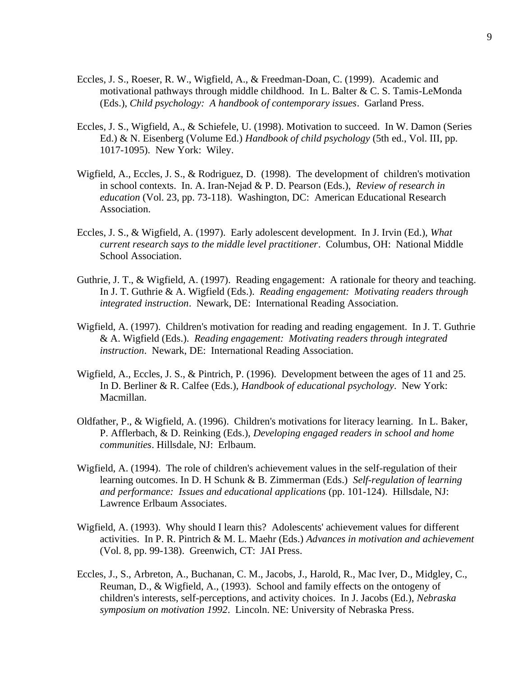- Eccles, J. S., Roeser, R. W., Wigfield, A., & Freedman-Doan, C. (1999). Academic and motivational pathways through middle childhood. In L. Balter & C. S. Tamis-LeMonda (Eds.), *Child psychology: A handbook of contemporary issues*. Garland Press.
- Eccles, J. S., Wigfield, A., & Schiefele, U. (1998). Motivation to succeed. In W. Damon (Series Ed.) & N. Eisenberg (Volume Ed.) *Handbook of child psychology* (5th ed., Vol. III, pp. 1017-1095). New York: Wiley.
- Wigfield, A., Eccles, J. S., & Rodriguez, D. (1998). The development of children's motivation in school contexts. In. A. Iran-Nejad & P. D. Pearson (Eds.), *Review of research in education* (Vol. 23, pp. 73-118). Washington, DC: American Educational Research Association.
- Eccles, J. S., & Wigfield, A. (1997). Early adolescent development. In J. Irvin (Ed.), *What current research says to the middle level practitioner*. Columbus, OH: National Middle School Association.
- Guthrie, J. T., & Wigfield, A. (1997). Reading engagement: A rationale for theory and teaching. In J. T. Guthrie & A. Wigfield (Eds.). *Reading engagement: Motivating readers through integrated instruction*. Newark, DE: International Reading Association.
- Wigfield, A. (1997). Children's motivation for reading and reading engagement. In J. T. Guthrie & A. Wigfield (Eds.). *Reading engagement: Motivating readers through integrated instruction*. Newark, DE: International Reading Association.
- Wigfield, A., Eccles, J. S., & Pintrich, P. (1996). Development between the ages of 11 and 25. In D. Berliner & R. Calfee (Eds.), *Handbook of educational psychology*. New York: Macmillan.
- Oldfather, P., & Wigfield, A. (1996). Children's motivations for literacy learning. In L. Baker, P. Afflerbach, & D. Reinking (Eds.), *Developing engaged readers in school and home communities*. Hillsdale, NJ: Erlbaum.
- Wigfield, A. (1994). The role of children's achievement values in the self-regulation of their learning outcomes. In D. H Schunk & B. Zimmerman (Eds.) *Self-regulation of learning and performance: Issues and educational applications* (pp. 101-124). Hillsdale, NJ: Lawrence Erlbaum Associates.
- Wigfield, A. (1993). Why should I learn this? Adolescents' achievement values for different activities. In P. R. Pintrich & M. L. Maehr (Eds.) *Advances in motivation and achievement* (Vol. 8, pp. 99-138). Greenwich, CT: JAI Press.
- Eccles, J., S., Arbreton, A., Buchanan, C. M., Jacobs, J., Harold, R., Mac Iver, D., Midgley, C., Reuman, D., & Wigfield, A., (1993). School and family effects on the ontogeny of children's interests, self-perceptions, and activity choices. In J. Jacobs (Ed.), *Nebraska symposium on motivation 1992*. Lincoln. NE: University of Nebraska Press.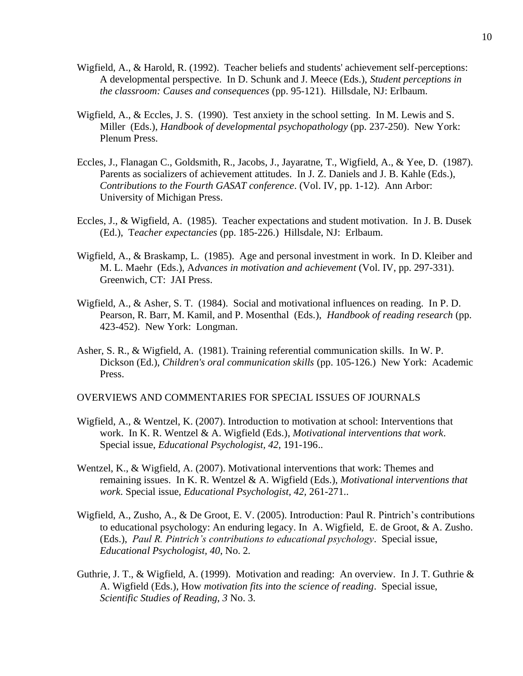- Wigfield, A., & Harold, R. (1992). Teacher beliefs and students' achievement self-perceptions: A developmental perspective. In D. Schunk and J. Meece (Eds.), *Student perceptions in the classroom: Causes and consequences* (pp. 95-121). Hillsdale, NJ: Erlbaum.
- Wigfield, A., & Eccles, J. S. (1990). Test anxiety in the school setting. In M. Lewis and S. Miller (Eds.), *Handbook of developmental psychopathology* (pp. 237-250). New York: Plenum Press.
- Eccles, J., Flanagan C., Goldsmith, R., Jacobs, J., Jayaratne, T., Wigfield, A., & Yee, D. (1987). Parents as socializers of achievement attitudes. In J. Z. Daniels and J. B. Kahle (Eds.), *Contributions to the Fourth GASAT conference*. (Vol. IV, pp. 1-12). Ann Arbor: University of Michigan Press.
- Eccles, J., & Wigfield, A. (1985). Teacher expectations and student motivation. In J. B. Dusek (Ed.), T*eacher expectancies* (pp. 185-226.) Hillsdale, NJ: Erlbaum.
- Wigfield, A., & Braskamp, L. (1985). Age and personal investment in work. In D. Kleiber and M. L. Maehr (Eds.), A*dvances in motivation and achievement* (Vol. IV, pp. 297-331). Greenwich, CT: JAI Press.
- Wigfield, A., & Asher, S. T. (1984). Social and motivational influences on reading. In P. D. Pearson, R. Barr, M. Kamil, and P. Mosenthal (Eds.), *Handbook of reading research* (pp. 423-452). New York: Longman.
- Asher, S. R., & Wigfield, A. (1981). Training referential communication skills. In W. P. Dickson (Ed.), *Children's oral communication skills* (pp. 105-126.) New York: Academic Press.

OVERVIEWS AND COMMENTARIES FOR SPECIAL ISSUES OF JOURNALS

- Wigfield, A., & Wentzel, K. (2007). Introduction to motivation at school: Interventions that work. In K. R. Wentzel & A. Wigfield (Eds.), *Motivational interventions that work*. Special issue, *Educational Psychologist, 42*, 191-196..
- Wentzel, K., & Wigfield, A. (2007). Motivational interventions that work: Themes and remaining issues. In K. R. Wentzel & A. Wigfield (Eds.), *Motivational interventions that work*. Special issue, *Educational Psychologist, 42,* 261-271..
- Wigfield, A., Zusho, A., & De Groot, E. V. (2005). Introduction: Paul R. Pintrich's contributions to educational psychology: An enduring legacy. In A. Wigfield, E. de Groot, & A. Zusho. (Eds.), *Paul R. Pintrich's contributions to educational psychology*. Special issue, *Educational Psychologist, 40*, No. 2*.*
- Guthrie, J. T., & Wigfield, A. (1999). Motivation and reading: An overview. In J. T. Guthrie & A. Wigfield (Eds.), How *motivation fits into the science of reading*. Special issue, *Scientific Studies of Reading, 3* No. 3.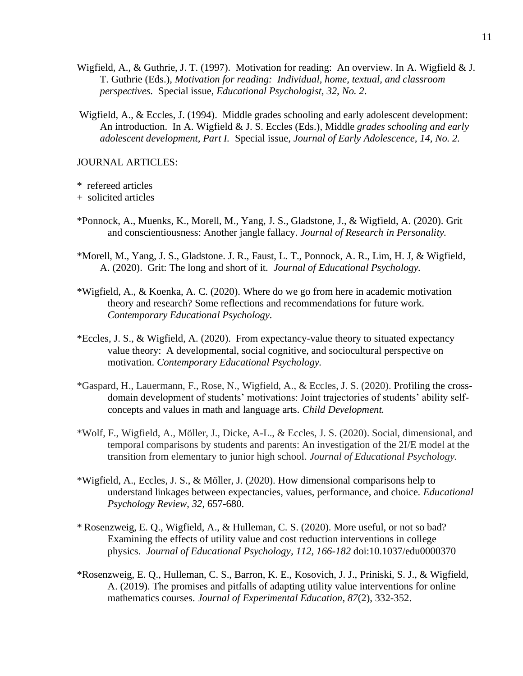- Wigfield, A., & Guthrie, J. T. (1997). Motivation for reading: An overview. In A. Wigfield & J. T. Guthrie (Eds.), *Motivation for reading: Individual, home, textual, and classroom perspectives.* Special issue, *Educational Psychologist, 32, No. 2*.
- Wigfield, A., & Eccles, J. (1994). Middle grades schooling and early adolescent development: An introduction. In A. Wigfield & J. S. Eccles (Eds.), Middle *grades schooling and early adolescent development, Part I.* Special issue*, Journal of Early Adolescence, 14, No. 2.*

JOURNAL ARTICLES:

\* refereed articles

+ solicited articles

- \*Ponnock, A., Muenks, K., Morell, M., Yang, J. S., Gladstone, J., & Wigfield, A. (2020). Grit and conscientiousness: Another jangle fallacy. *Journal of Research in Personality.*
- \*Morell, M., Yang, J. S., Gladstone. J. R., Faust, L. T., Ponnock, A. R., Lim, H. J, & Wigfield, A. (2020). Grit: The long and short of it. *Journal of Educational Psychology.*
- \*Wigfield, A., & Koenka, A. C. (2020). Where do we go from here in academic motivation theory and research? Some reflections and recommendations for future work. *Contemporary Educational Psychology.*
- \*Eccles, J. S., & Wigfield, A. (2020). From expectancy-value theory to situated expectancy value theory: A developmental, social cognitive, and sociocultural perspective on motivation. *Contemporary Educational Psychology.*
- \*Gaspard, H., Lauermann, F., Rose, N., Wigfield, A., & Eccles, J. S. (2020). Profiling the crossdomain development of students' motivations: Joint trajectories of students' ability selfconcepts and values in math and language arts. *Child Development.*
- \*Wolf, F., Wigfield, A., Möller, J., Dicke, A-L., & Eccles, J. S. (2020). Social, dimensional, and temporal comparisons by students and parents: An investigation of the 2I/E model at the transition from elementary to junior high school. *Journal of Educational Psychology.*
- \*Wigfield, A., Eccles, J. S., & Möller, J. (2020). How dimensional comparisons help to understand linkages between expectancies, values, performance, and choice. *Educational Psychology Review*, *32*, 657-680.
- \* Rosenzweig, E. Q., Wigfield, A., & Hulleman, C. S. (2020). More useful, or not so bad? Examining the effects of utility value and cost reduction interventions in college physics. *Journal of Educational Psychology, 112, 166-182* doi:10.1037/edu0000370
- \*Rosenzweig, E. Q., Hulleman, C. S., Barron, K. E., Kosovich, J. J., Priniski, S. J., & Wigfield, A. (2019). The promises and pitfalls of adapting utility value interventions for online mathematics courses. *Journal of Experimental Education, 87*(2), 332-352.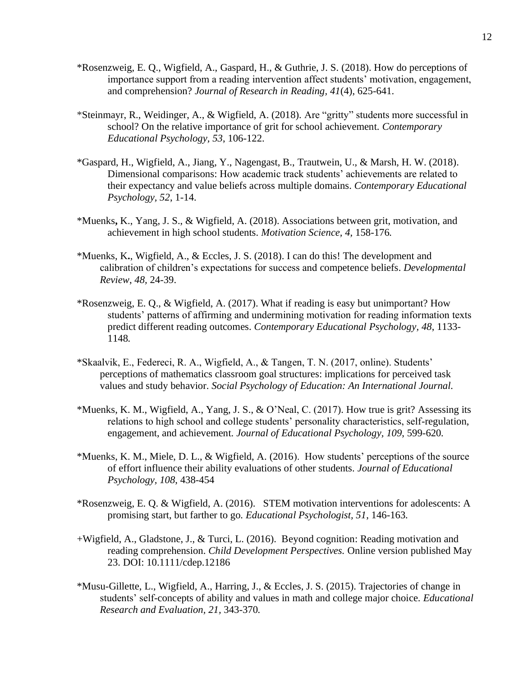- \*Rosenzweig, E. Q., Wigfield, A., Gaspard, H., & Guthrie, J. S. (2018). How do perceptions of importance support from a reading intervention affect students' motivation, engagement, and comprehension? *Journal of Research in Reading, 41*(4), 625-641.
- \*Steinmayr, R., Weidinger, A., & Wigfield, A. (2018). Are "gritty" students more successful in school? On the relative importance of grit for school achievement. *Contemporary Educational Psychology, 53*, 106-122.
- \*Gaspard, H., Wigfield, A., Jiang, Y., Nagengast, B., Trautwein, U., & Marsh, H. W. (2018). Dimensional comparisons: How academic track students' achievements are related to their expectancy and value beliefs across multiple domains. *Contemporary Educational Psychology, 52*, 1-14.
- \*Muenks**,** K., Yang, J. S., & Wigfield, A. (2018). Associations between grit, motivation, and achievement in high school students. *Motivation Science, 4,* 158-176*.*
- \*Muenks, K**.**, Wigfield, A., & Eccles, J. S. (2018). I can do this! The development and calibration of children's expectations for success and competence beliefs. *Developmental Review*, *48,* 24-39.
- \*Rosenzweig, E. Q., & Wigfield, A. (2017). What if reading is easy but unimportant? How students' patterns of affirming and undermining motivation for reading information texts predict different reading outcomes. *Contemporary Educational Psychology, 48*, 1133- 1148*.*
- \*Skaalvik, E., Federeci, R. A., Wigfield, A., & Tangen, T. N. (2017, online). Students' perceptions of mathematics classroom goal structures: implications for perceived task values and study behavior. *Social Psychology of Education: An International Journal.*
- \*Muenks, K. M., Wigfield, A., Yang, J. S., & O'Neal, C. (2017). How true is grit? Assessing its relations to high school and college students' personality characteristics, self-regulation, engagement, and achievement. *Journal of Educational Psychology, 109*, 599-620*.*
- \*Muenks, K. M., Miele, D. L., & Wigfield, A. (2016). How students' perceptions of the source of effort influence their ability evaluations of other students. *Journal of Educational Psychology, 108*, 438-454
- \*Rosenzweig, E. Q. & Wigfield, A. (2016). STEM motivation interventions for adolescents: A promising start, but farther to go*. Educational Psychologist, 51*, 146-163*.*
- +Wigfield, A., Gladstone, J., & Turci, L. (2016). Beyond cognition: Reading motivation and reading comprehension. *Child Development Perspectives.* Online version published May 23. DOI: 10.1111/cdep.12186
- \*Musu-Gillette, L., Wigfield, A., Harring, J., & Eccles, J. S. (2015). Trajectories of change in students' self-concepts of ability and values in math and college major choice. *Educational Research and Evaluation, 21,* 343-370*.*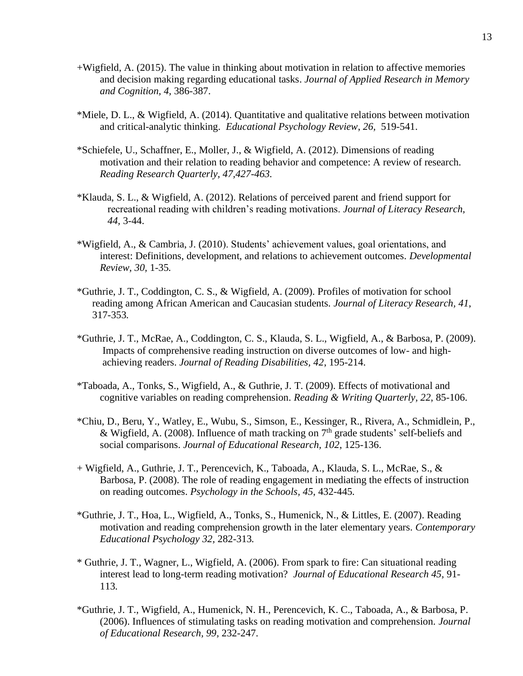- +Wigfield, A. (2015). The value in thinking about motivation in relation to affective memories and decision making regarding educational tasks. *Journal of Applied Research in Memory and Cognition, 4,* 386-387.
- \*Miele, D. L., & Wigfield, A. (2014). Quantitative and qualitative relations between motivation and critical-analytic thinking. *Educational Psychology Review*, *26,* 519-541.
- \*Schiefele, U., Schaffner, E., Moller, J., & Wigfield, A. (2012). Dimensions of reading motivation and their relation to reading behavior and competence: A review of research. *Reading Research Quarterly, 47,427-463.*
- \*Klauda, S. L., & Wigfield, A. (2012). Relations of perceived parent and friend support for recreational reading with children's reading motivations. *Journal of Literacy Research, 44,* 3-44.
- \*Wigfield, A., & Cambria, J. (2010). Students' achievement values, goal orientations, and interest: Definitions, development, and relations to achievement outcomes. *Developmental Review, 30,* 1-35*.*
- \*Guthrie, J. T., Coddington, C. S., & Wigfield, A. (2009). Profiles of motivation for school reading among African American and Caucasian students. *Journal of Literacy Research, 41*, 317-353*.*
- \*Guthrie, J. T., McRae, A., Coddington, C. S., Klauda, S. L., Wigfield, A., & Barbosa, P. (2009). Impacts of comprehensive reading instruction on diverse outcomes of low- and highachieving readers. *Journal of Reading Disabilities, 42*, 195-214.
- \*Taboada, A., Tonks, S., Wigfield, A., & Guthrie, J. T. (2009). Effects of motivational and cognitive variables on reading comprehension. *Reading & Writing Quarterly, 22*, 85-106.
- \*Chiu, D., Beru, Y., Watley, E., Wubu, S., Simson, E., Kessinger, R., Rivera, A., Schmidlein, P., & Wigfield, A. (2008). Influence of math tracking on  $7<sup>th</sup>$  grade students' self-beliefs and social comparisons. *Journal of Educational Research, 102*, 125-136.
- + Wigfield, A., Guthrie, J. T., Perencevich, K., Taboada, A., Klauda, S. L., McRae, S., & Barbosa, P. (2008). The role of reading engagement in mediating the effects of instruction on reading outcomes. *Psychology in the Schools, 45*, 432-445*.*
- \*Guthrie, J. T., Hoa, L., Wigfield, A., Tonks, S., Humenick, N., & Littles, E. (2007). Reading motivation and reading comprehension growth in the later elementary years. *Contemporary Educational Psychology 32,* 282-313*.*
- \* Guthrie, J. T., Wagner, L., Wigfield, A. (2006). From spark to fire: Can situational reading interest lead to long-term reading motivation? *Journal of Educational Research 45,* 91- 113*.*
- \*Guthrie, J. T., Wigfield, A., Humenick, N. H., Perencevich, K. C., Taboada, A., & Barbosa, P. (2006). Influences of stimulating tasks on reading motivation and comprehension. *Journal of Educational Research, 99,* 232-247.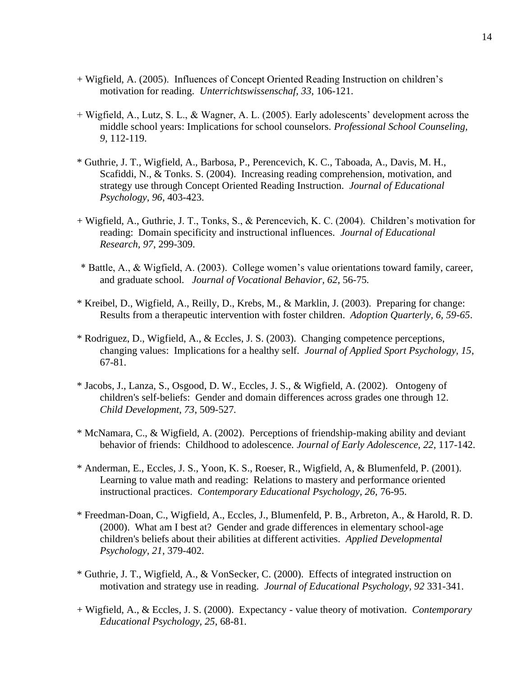- + Wigfield, A. (2005). Influences of Concept Oriented Reading Instruction on children's motivation for reading. *Unterrichtswissenschaf, 33*, 106-121.
- + Wigfield, A., Lutz, S. L., & Wagner, A. L. (2005). Early adolescents' development across the middle school years: Implications for school counselors. *Professional School Counseling, 9,* 112-119.
- \* Guthrie, J. T., Wigfield, A., Barbosa, P., Perencevich, K. C., Taboada, A., Davis, M. H., Scafiddi, N., & Tonks. S. (2004). Increasing reading comprehension, motivation, and strategy use through Concept Oriented Reading Instruction. *Journal of Educational Psychology, 96*, 403-423.
- + Wigfield, A., Guthrie, J. T., Tonks, S., & Perencevich, K. C. (2004). Children's motivation for reading: Domain specificity and instructional influences. *Journal of Educational Research, 97*, 299-309.
- \* Battle, A., & Wigfield, A. (2003). College women's value orientations toward family, career, and graduate school. *Journal of Vocational Behavior, 62*, 56-75*.*
- \* Kreibel, D., Wigfield, A., Reilly, D., Krebs, M., & Marklin, J. (2003). Preparing for change: Results from a therapeutic intervention with foster children. *Adoption Quarterly, 6, 59-65*.
- \* Rodriguez, D., Wigfield, A., & Eccles, J. S. (2003). Changing competence perceptions, changing values: Implications for a healthy self. *Journal of Applied Sport Psychology, 15*, 67-81.
- \* Jacobs, J., Lanza, S., Osgood, D. W., Eccles, J. S., & Wigfield, A. (2002). Ontogeny of children's self-beliefs: Gender and domain differences across grades one through 12. *Child Development, 73*, 509-527*.*
- \* McNamara, C., & Wigfield, A. (2002). Perceptions of friendship-making ability and deviant behavior of friends: Childhood to adolescence. *Journal of Early Adolescence, 22*, 117-142.
- \* Anderman, E., Eccles, J. S., Yoon, K. S., Roeser, R., Wigfield, A, & Blumenfeld, P. (2001). Learning to value math and reading: Relations to mastery and performance oriented instructional practices. *Contemporary Educational Psychology, 26,* 76-95.
- \* Freedman-Doan, C., Wigfield, A., Eccles, J., Blumenfeld, P. B., Arbreton, A., & Harold, R. D. (2000). What am I best at? Gender and grade differences in elementary school-age children's beliefs about their abilities at different activities. *Applied Developmental Psychology, 21*, 379-402.
- \* Guthrie, J. T., Wigfield, A., & VonSecker, C. (2000). Effects of integrated instruction on motivation and strategy use in reading. *Journal of Educational Psychology, 92* 331-341.
- + Wigfield, A., & Eccles, J. S. (2000). Expectancy value theory of motivation. *Contemporary Educational Psychology, 25*, 68-81.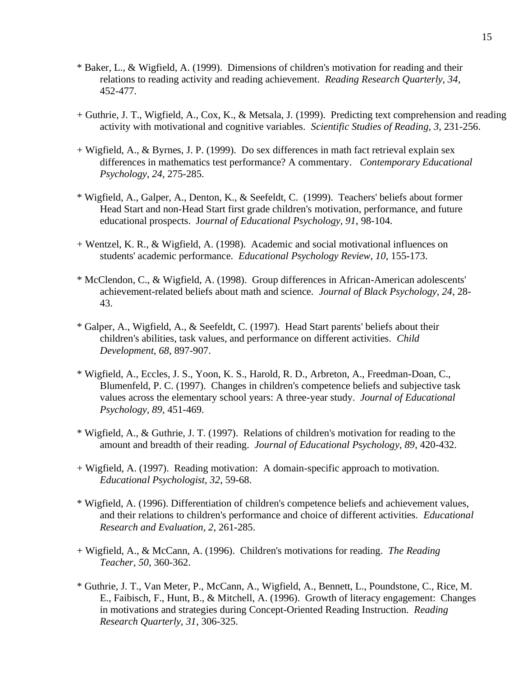- \* Baker, L., & Wigfield, A. (1999). Dimensions of children's motivation for reading and their relations to reading activity and reading achievement. *Reading Research Quarterly, 34*, 452-477.
- + Guthrie, J. T., Wigfield, A., Cox, K., & Metsala, J. (1999). Predicting text comprehension and reading activity with motivational and cognitive variables. *Scientific Studies of Reading, 3*, 231-256.
- + Wigfield, A., & Byrnes, J. P. (1999). Do sex differences in math fact retrieval explain sex differences in mathematics test performance? A commentary. *Contemporary Educational Psychology, 24*, 275-285.
- \* Wigfield, A., Galper, A., Denton, K., & Seefeldt, C. (1999). Teachers' beliefs about former Head Start and non-Head Start first grade children's motivation, performance, and future educational prospects. J*ournal of Educational Psychology, 91*, 98-104.
- + Wentzel, K. R., & Wigfield, A. (1998). Academic and social motivational influences on students' academic performance. *Educational Psychology Review, 10*, 155-173.
- \* McClendon, C., & Wigfield, A. (1998). Group differences in African-American adolescents' achievement-related beliefs about math and science. *Journal of Black Psychology, 24*, 28- 43.
- \* Galper, A., Wigfield, A., & Seefeldt, C. (1997). Head Start parents' beliefs about their children's abilities, task values, and performance on different activities. *Child Development, 68*, 897-907.
- \* Wigfield, A., Eccles, J. S., Yoon, K. S., Harold, R. D., Arbreton, A., Freedman-Doan, C., Blumenfeld, P. C. (1997). Changes in children's competence beliefs and subjective task values across the elementary school years: A three-year study. *Journal of Educational Psychology, 89*, 451-469.
- \* Wigfield, A., & Guthrie, J. T. (1997). Relations of children's motivation for reading to the amount and breadth of their reading. *Journal of Educational Psychology, 89*, 420-432.
- + Wigfield, A. (1997). Reading motivation: A domain-specific approach to motivation. *Educational Psychologist, 32*, 59-68.
- \* Wigfield, A. (1996). Differentiation of children's competence beliefs and achievement values, and their relations to children's performance and choice of different activities. *Educational Research and Evaluation, 2*, 261-285.
- + Wigfield, A., & McCann, A. (1996). Children's motivations for reading. *The Reading Teacher, 50*, 360-362.
- \* Guthrie, J. T., Van Meter, P., McCann, A., Wigfield, A., Bennett, L., Poundstone, C., Rice, M. E., Faibisch, F., Hunt, B., & Mitchell, A. (1996). Growth of literacy engagement: Changes in motivations and strategies during Concept-Oriented Reading Instruction. *Reading Research Quarterly, 31*, 306-325.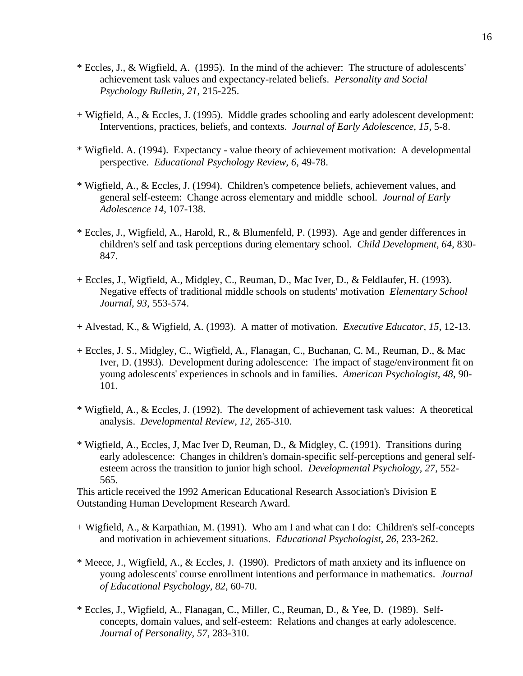- \* Eccles, J., & Wigfield, A. (1995). In the mind of the achiever: The structure of adolescents' achievement task values and expectancy-related beliefs. *Personality and Social Psychology Bulletin, 21*, 215-225.
- + Wigfield, A., & Eccles, J. (1995). Middle grades schooling and early adolescent development: Interventions, practices, beliefs, and contexts. *Journal of Early Adolescence, 15*, 5-8.
- \* Wigfield. A. (1994). Expectancy value theory of achievement motivation: A developmental perspective. *Educational Psychology Review, 6*, 49-78.
- \* Wigfield, A., & Eccles, J. (1994). Children's competence beliefs, achievement values, and general self-esteem: Change across elementary and middle school. *Journal of Early Adolescence 14*, 107-138.
- \* Eccles, J., Wigfield, A., Harold, R., & Blumenfeld, P. (1993). Age and gender differences in children's self and task perceptions during elementary school. *Child Development, 64*, 830- 847.
- + Eccles, J., Wigfield, A., Midgley, C., Reuman, D., Mac Iver, D., & Feldlaufer, H. (1993). Negative effects of traditional middle schools on students' motivation *Elementary School Journal, 93*, 553-574.
- + Alvestad, K., & Wigfield, A. (1993). A matter of motivation. *Executive Educator, 15*, 12-13.
- + Eccles, J. S., Midgley, C., Wigfield, A., Flanagan, C., Buchanan, C. M., Reuman, D., & Mac Iver, D. (1993). Development during adolescence: The impact of stage/environment fit on young adolescents' experiences in schools and in families. *American Psychologist, 48*, 90- 101.
- \* Wigfield, A., & Eccles, J. (1992). The development of achievement task values: A theoretical analysis. *Developmental Review, 12*, 265-310.
- \* Wigfield, A., Eccles, J, Mac Iver D, Reuman, D., & Midgley, C. (1991). Transitions during early adolescence: Changes in children's domain-specific self-perceptions and general selfesteem across the transition to junior high school. *Developmental Psychology, 27*, 552- 565.

This article received the 1992 American Educational Research Association's Division E Outstanding Human Development Research Award.

- + Wigfield, A., & Karpathian, M. (1991). Who am I and what can I do: Children's self-concepts and motivation in achievement situations. *Educational Psychologist, 26*, 233-262.
- \* Meece, J., Wigfield, A., & Eccles, J. (1990). Predictors of math anxiety and its influence on young adolescents' course enrollment intentions and performance in mathematics. *Journal of Educational Psychology, 82*, 60-70.
- \* Eccles, J., Wigfield, A., Flanagan, C., Miller, C., Reuman, D., & Yee, D. (1989). Selfconcepts, domain values, and self-esteem: Relations and changes at early adolescence. *Journal of Personality, 57*, 283-310.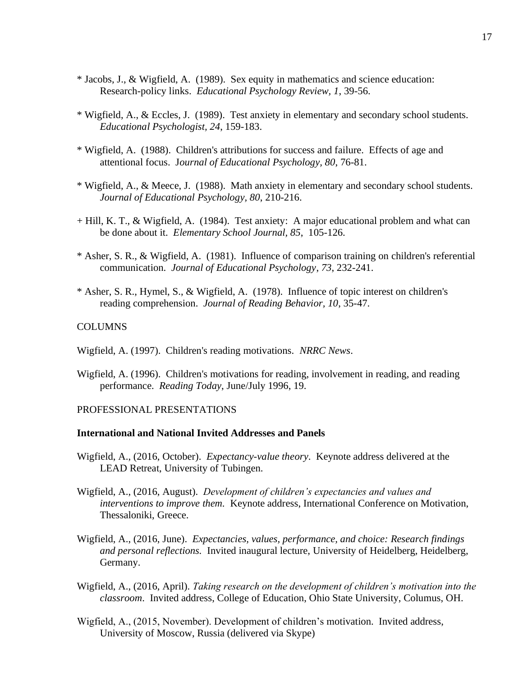- \* Jacobs, J., & Wigfield, A. (1989). Sex equity in mathematics and science education: Research-policy links. *Educational Psychology Review, 1*, 39-56.
- \* Wigfield, A., & Eccles, J. (1989). Test anxiety in elementary and secondary school students. *Educational Psychologist, 24*, 159-183.
- \* Wigfield, A. (1988). Children's attributions for success and failure. Effects of age and attentional focus. J*ournal of Educational Psychology, 80*, 76-81.
- \* Wigfield, A., & Meece, J. (1988). Math anxiety in elementary and secondary school students. *Journal of Educational Psychology, 80*, 210-216.
- + Hill, K. T., & Wigfield, A. (1984). Test anxiety: A major educational problem and what can be done about it. *Elementary School Journal, 85*, 105-126.
- \* Asher, S. R., & Wigfield, A. (1981). Influence of comparison training on children's referential communication. *Journal of Educational Psychology*, *73*, 232-241.
- \* Asher, S. R., Hymel, S., & Wigfield, A. (1978). Influence of topic interest on children's reading comprehension. *Journal of Reading Behavior, 10*, 35-47.

### **COLUMNS**

Wigfield, A. (1997). Children's reading motivations. *NRRC News*.

Wigfield, A. (1996). Children's motivations for reading, involvement in reading, and reading performance. *Reading Today*, June/July 1996, 19.

#### PROFESSIONAL PRESENTATIONS

#### **International and National Invited Addresses and Panels**

- Wigfield, A., (2016, October). *Expectancy-value theory*. Keynote address delivered at the LEAD Retreat, University of Tubingen.
- Wigfield, A., (2016, August). *Development of children's expectancies and values and interventions to improve them.* Keynote address, International Conference on Motivation, Thessaloniki, Greece.
- Wigfield, A., (2016, June). *Expectancies, values, performance, and choice: Research findings and personal reflections.* Invited inaugural lecture, University of Heidelberg, Heidelberg, Germany.
- Wigfield, A., (2016, April). *Taking research on the development of children's motivation into the classroom*. Invited address, College of Education, Ohio State University, Columus, OH.
- Wigfield, A., (2015, November). Development of children's motivation. Invited address, University of Moscow, Russia (delivered via Skype)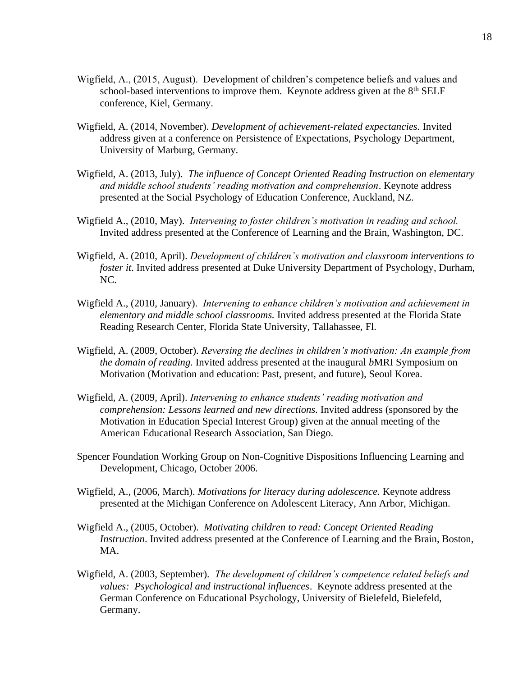- Wigfield, A., (2015, August). Development of children's competence beliefs and values and school-based interventions to improve them. Keynote address given at the 8<sup>th</sup> SELF conference, Kiel, Germany.
- Wigfield, A. (2014, November). *Development of achievement-related expectancies.* Invited address given at a conference on Persistence of Expectations, Psychology Department, University of Marburg, Germany.
- Wigfield, A. (2013, July). *The influence of Concept Oriented Reading Instruction on elementary and middle school students' reading motivation and comprehension*. Keynote address presented at the Social Psychology of Education Conference, Auckland, NZ.
- Wigfield A., (2010, May). *Intervening to foster children's motivation in reading and school.*  Invited address presented at the Conference of Learning and the Brain, Washington, DC.
- Wigfield, A. (2010, April). *Development of children's motivation and classroom interventions to foster it*. Invited address presented at Duke University Department of Psychology, Durham, NC.
- Wigfield A., (2010, January). *Intervening to enhance children's motivation and achievement in elementary and middle school classrooms.* Invited address presented at the Florida State Reading Research Center, Florida State University, Tallahassee, Fl.
- Wigfield, A. (2009, October). *Reversing the declines in children's motivation: An example from the domain of reading.* Invited address presented at the inaugural *b*MRI Symposium on Motivation (Motivation and education: Past, present, and future), Seoul Korea.
- Wigfield, A. (2009, April). *Intervening to enhance students' reading motivation and comprehension: Lessons learned and new directions.* Invited address (sponsored by the Motivation in Education Special Interest Group) given at the annual meeting of the American Educational Research Association, San Diego.
- Spencer Foundation Working Group on Non-Cognitive Dispositions Influencing Learning and Development, Chicago, October 2006.
- Wigfield, A., (2006, March). *Motivations for literacy during adolescence.* Keynote address presented at the Michigan Conference on Adolescent Literacy, Ann Arbor, Michigan.
- Wigfield A., (2005, October). *Motivating children to read: Concept Oriented Reading Instruction*. Invited address presented at the Conference of Learning and the Brain, Boston, MA.
- Wigfield, A. (2003, September). *The development of children's competence related beliefs and values: Psychological and instructional influences*. Keynote address presented at the German Conference on Educational Psychology, University of Bielefeld, Bielefeld, Germany.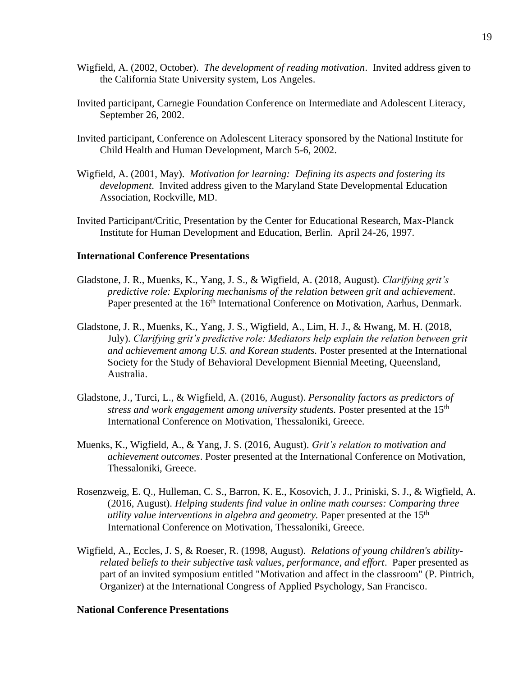- Wigfield, A. (2002, October). *The development of reading motivation*. Invited address given to the California State University system, Los Angeles.
- Invited participant, Carnegie Foundation Conference on Intermediate and Adolescent Literacy, September 26, 2002.
- Invited participant, Conference on Adolescent Literacy sponsored by the National Institute for Child Health and Human Development, March 5-6, 2002.
- Wigfield, A. (2001, May). *Motivation for learning: Defining its aspects and fostering its development*. Invited address given to the Maryland State Developmental Education Association, Rockville, MD.
- Invited Participant/Critic, Presentation by the Center for Educational Research, Max-Planck Institute for Human Development and Education, Berlin. April 24-26, 1997.

### **International Conference Presentations**

- Gladstone, J. R., Muenks, K., Yang, J. S., & Wigfield, A. (2018, August). *Clarifying grit's predictive role: Exploring mechanisms of the relation between grit and achievement*. Paper presented at the 16<sup>th</sup> International Conference on Motivation, Aarhus, Denmark.
- Gladstone, J. R., Muenks, K., Yang, J. S., Wigfield, A., Lim, H. J., & Hwang, M. H. (2018, July). *Clarifying grit's predictive role: Mediators help explain the relation between grit and achievement among U.S. and Korean students.* Poster presented at the International Society for the Study of Behavioral Development Biennial Meeting, Queensland, Australia.
- Gladstone, J., Turci, L., & Wigfield, A. (2016, August). *Personality factors as predictors of stress and work engagement among university students.* Poster presented at the 15th International Conference on Motivation, Thessaloniki, Greece.
- Muenks, K., Wigfield, A., & Yang, J. S. (2016, August). *Grit's relation to motivation and achievement outcomes*. Poster presented at the International Conference on Motivation, Thessaloniki, Greece.
- Rosenzweig, E. Q., Hulleman, C. S., Barron, K. E., Kosovich, J. J., Priniski, S. J., & Wigfield, A. (2016, August). *Helping students find value in online math courses: Comparing three utility value interventions in algebra and geometry.* Paper presented at the 15<sup>th</sup> International Conference on Motivation, Thessaloniki, Greece.
- Wigfield, A., Eccles, J. S, & Roeser, R. (1998, August). *Relations of young children's abilityrelated beliefs to their subjective task values, performance, and effort*. Paper presented as part of an invited symposium entitled "Motivation and affect in the classroom" (P. Pintrich, Organizer) at the International Congress of Applied Psychology, San Francisco.

### **National Conference Presentations**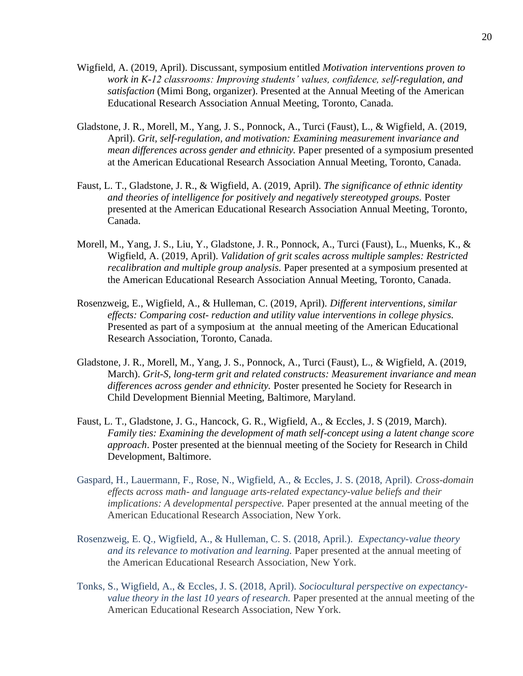- Wigfield, A. (2019, April). Discussant, symposium entitled *Motivation interventions proven to work in K-12 classrooms: Improving students' values, confidence, self-regulation, and satisfaction* (Mimi Bong, organizer). Presented at the Annual Meeting of the American Educational Research Association Annual Meeting, Toronto, Canada.
- Gladstone, J. R., Morell, M., Yang, J. S., Ponnock, A., Turci (Faust), L., & Wigfield, A. (2019, April). *Grit, self-regulation, and motivation: Examining measurement invariance and mean differences across gender and ethnicity.* Paper presented of a symposium presented at the American Educational Research Association Annual Meeting, Toronto, Canada.
- Faust, L. T., Gladstone, J. R., & Wigfield, A. (2019, April). *The significance of ethnic identity and theories of intelligence for positively and negatively stereotyped groups.* Poster presented at the American Educational Research Association Annual Meeting, Toronto, Canada.
- Morell, M., Yang, J. S., Liu, Y., Gladstone, J. R., Ponnock, A., Turci (Faust), L., Muenks, K., & Wigfield, A. (2019, April). *Validation of grit scales across multiple samples: Restricted recalibration and multiple group analysis.* Paper presented at a symposium presented at the American Educational Research Association Annual Meeting, Toronto, Canada.
- Rosenzweig, E., Wigfield, A., & Hulleman, C. (2019, April). *Different interventions, similar effects: Comparing cost- reduction and utility value interventions in college physics.* Presented as part of a symposium at the annual meeting of the American Educational Research Association, Toronto, Canada.
- Gladstone, J. R., Morell, M., Yang, J. S., Ponnock, A., Turci (Faust), L., & Wigfield, A. (2019, March). *Grit-S, long-term grit and related constructs: Measurement invariance and mean differences across gender and ethnicity.* Poster presented he Society for Research in Child Development Biennial Meeting, Baltimore, Maryland.
- Faust, L. T., Gladstone, J. G., Hancock, G. R., Wigfield, A., & Eccles, J. S (2019, March). *Family ties: Examining the development of math self-concept using a latent change score approach*. Poster presented at the biennual meeting of the Society for Research in Child Development, Baltimore.
- Gaspard, H., Lauermann, F., Rose, N., Wigfield, A., & Eccles, J. S. (2018, April). *Cross-domain effects across math- and language arts-related expectancy-value beliefs and their implications: A developmental perspective.* Paper presented at the annual meeting of the American Educational Research Association, New York.
- Rosenzweig, E. Q., Wigfield, A., & Hulleman, C. S. (2018, April.). *Expectancy-value theory and its relevance to motivation and learning.* Paper presented at the annual meeting of the American Educational Research Association, New York.
- Tonks, S., Wigfield, A., & Eccles, J. S. (2018, April). *Sociocultural perspective on expectancyvalue theory in the last 10 years of research.* Paper presented at the annual meeting of the American Educational Research Association, New York.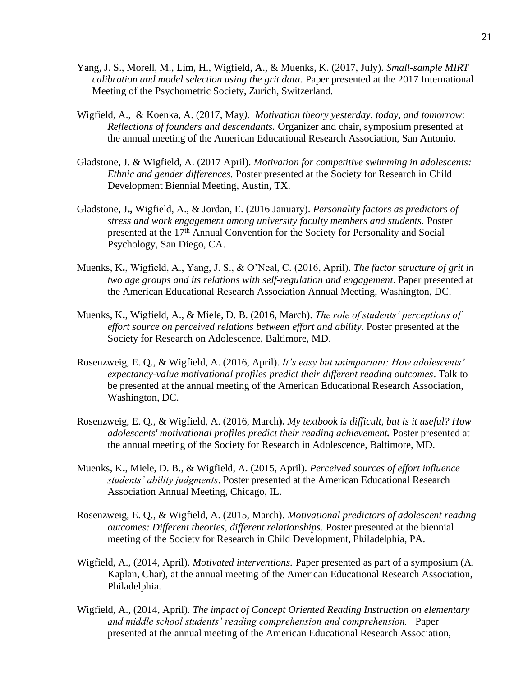- Yang, J. S., Morell, M., Lim, H., Wigfield, A., & Muenks, K. (2017, July). *Small-sample MIRT calibration and model selection using the grit data*. Paper presented at the 2017 International Meeting of the Psychometric Society, Zurich, Switzerland.
- Wigfield, A., & Koenka, A. (2017, May*). Motivation theory yesterday, today, and tomorrow: Reflections of founders and descendants.* Organizer and chair, symposium presented at the annual meeting of the American Educational Research Association, San Antonio.
- Gladstone, J. & Wigfield, A. (2017 April). *Motivation for competitive swimming in adolescents: Ethnic and gender differences.* Poster presented at the Society for Research in Child Development Biennial Meeting, Austin, TX.
- Gladstone, J**.,** Wigfield, A., & Jordan, E. (2016 January). *Personality factors as predictors of stress and work engagement among university faculty members and students.* Poster presented at the 17th Annual Convention for the Society for Personality and Social Psychology, San Diego, CA.
- Muenks, K**.**, Wigfield, A., Yang, J. S., & O'Neal, C. (2016, April). *The factor structure of grit in two age groups and its relations with self-regulation and engagement*. Paper presented at the American Educational Research Association Annual Meeting, Washington, DC.
- Muenks, K**.**, Wigfield, A., & Miele, D. B. (2016, March). *The role of students' perceptions of effort source on perceived relations between effort and ability*. Poster presented at the Society for Research on Adolescence, Baltimore, MD.
- Rosenzweig, E. Q., & Wigfield, A. (2016, April). *It's easy but unimportant: How adolescents' expectancy-value motivational profiles predict their different reading outcomes*. Talk to be presented at the annual meeting of the American Educational Research Association, Washington, DC.
- Rosenzweig, E. Q., & Wigfield, A. (2016, March**).** *My textbook is difficult, but is it useful? How adolescents' motivational profiles predict their reading achievement.* Poster presented at the annual meeting of the Society for Research in Adolescence, Baltimore, MD.
- Muenks, K**.**, Miele, D. B., & Wigfield, A. (2015, April). *Perceived sources of effort influence students' ability judgments*. Poster presented at the American Educational Research Association Annual Meeting, Chicago, IL.
- Rosenzweig, E. Q., & Wigfield, A. (2015, March). *Motivational predictors of adolescent reading outcomes: Different theories, different relationships.* Poster presented at the biennial meeting of the Society for Research in Child Development, Philadelphia, PA.
- Wigfield, A., (2014, April). *Motivated interventions.* Paper presented as part of a symposium (A. Kaplan, Char), at the annual meeting of the American Educational Research Association, Philadelphia.
- Wigfield, A., (2014, April). *The impact of Concept Oriented Reading Instruction on elementary and middle school students' reading comprehension and comprehension.* Paper presented at the annual meeting of the American Educational Research Association,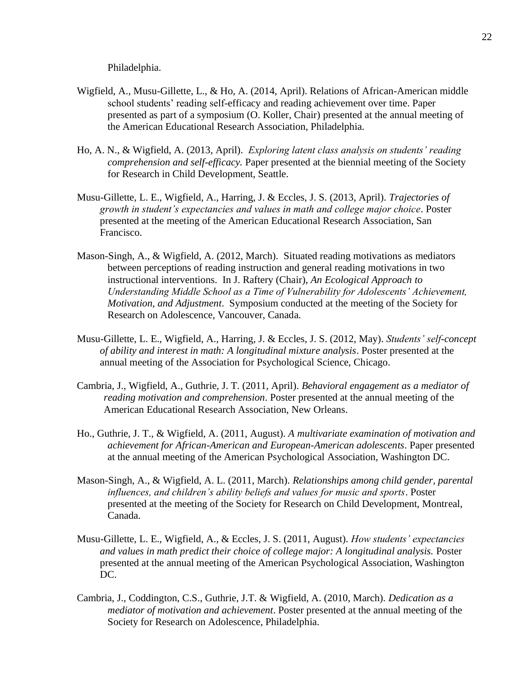Philadelphia.

- Wigfield, A., Musu-Gillette, L., & Ho, A. (2014, April). Relations of African-American middle school students' reading self-efficacy and reading achievement over time. Paper presented as part of a symposium (O. Koller, Chair) presented at the annual meeting of the American Educational Research Association, Philadelphia.
- Ho, A. N., & Wigfield, A. (2013, April). *Exploring latent class analysis on students' reading comprehension and self-efficacy.* Paper presented at the biennial meeting of the Society for Research in Child Development, Seattle.
- Musu-Gillette, L. E., Wigfield, A., Harring, J. & Eccles, J. S. (2013, April). *Trajectories of growth in student's expectancies and values in math and college major choice*. Poster presented at the meeting of the American Educational Research Association, San Francisco.
- Mason-Singh, A., & Wigfield, A. (2012, March). Situated reading motivations as mediators between perceptions of reading instruction and general reading motivations in two instructional interventions. In J. Raftery (Chair), *An Ecological Approach to Understanding Middle School as a Time of Vulnerability for Adolescents' Achievement, Motivation, and Adjustment*. Symposium conducted at the meeting of the Society for Research on Adolescence, Vancouver, Canada.
- Musu-Gillette, L. E., Wigfield, A., Harring, J. & Eccles, J. S. (2012, May). *Students' self-concept of ability and interest in math: A longitudinal mixture analysis*. Poster presented at the annual meeting of the Association for Psychological Science, Chicago.
- Cambria, J., Wigfield, A., Guthrie, J. T. (2011, April). *Behavioral engagement as a mediator of reading motivation and comprehension*. Poster presented at the annual meeting of the American Educational Research Association, New Orleans.
- Ho., Guthrie, J. T., & Wigfield, A. (2011, August). *A multivariate examination of motivation and achievement for African-American and European-American adolescents*. Paper presented at the annual meeting of the American Psychological Association, Washington DC.
- Mason-Singh, A., & Wigfield, A. L. (2011, March). *Relationships among child gender, parental influences, and children's ability beliefs and values for music and sports*. Poster presented at the meeting of the Society for Research on Child Development, Montreal, Canada.
- Musu-Gillette, L. E., Wigfield, A., & Eccles, J. S. (2011, August). *How students' expectancies and values in math predict their choice of college major: A longitudinal analysis.* Poster presented at the annual meeting of the American Psychological Association, Washington DC.
- Cambria, J., Coddington, C.S., Guthrie, J.T. & Wigfield, A. (2010, March). *Dedication as a mediator of motivation and achievement*. Poster presented at the annual meeting of the Society for Research on Adolescence, Philadelphia.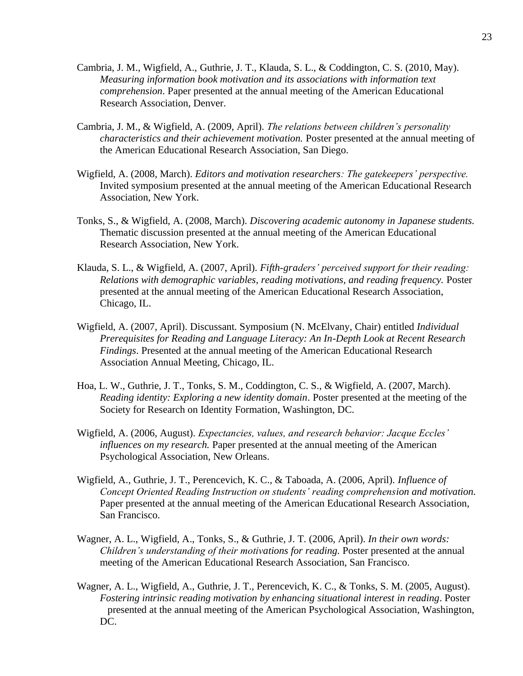- Cambria, J. M., Wigfield, A., Guthrie, J. T., Klauda, S. L., & Coddington, C. S. (2010, May). *Measuring information book motivation and its associations with information text comprehension*. Paper presented at the annual meeting of the American Educational Research Association, Denver.
- Cambria, J. M., & Wigfield, A. (2009, April). *The relations between children's personality characteristics and their achievement motivation.* Poster presented at the annual meeting of the American Educational Research Association, San Diego.
- Wigfield, A. (2008, March). *Editors and motivation researchers: The gatekeepers' perspective.* Invited symposium presented at the annual meeting of the American Educational Research Association, New York.
- Tonks, S., & Wigfield, A. (2008, March). *Discovering academic autonomy in Japanese students.*  Thematic discussion presented at the annual meeting of the American Educational Research Association, New York.
- Klauda, S. L., & Wigfield, A. (2007, April). *Fifth-graders' perceived support for their reading: Relations with demographic variables, reading motivations, and reading frequency.* Poster presented at the annual meeting of the American Educational Research Association, Chicago, IL.
- Wigfield, A. (2007, April). Discussant. Symposium (N. McElvany, Chair) entitled *Individual Prerequisites for Reading and Language Literacy: An In-Depth Look at Recent Research Findings*. Presented at the annual meeting of the American Educational Research Association Annual Meeting, Chicago, IL.
- Hoa, L. W., Guthrie, J. T., Tonks, S. M., Coddington, C. S., & Wigfield, A. (2007, March). *Reading identity: Exploring a new identity domain*. Poster presented at the meeting of the Society for Research on Identity Formation, Washington, DC.
- Wigfield, A. (2006, August). *Expectancies, values, and research behavior: Jacque Eccles' influences on my research.* Paper presented at the annual meeting of the American Psychological Association, New Orleans.
- Wigfield, A., Guthrie, J. T., Perencevich, K. C., & Taboada, A. (2006, April). *Influence of Concept Oriented Reading Instruction on students' reading comprehension and motivation.* Paper presented at the annual meeting of the American Educational Research Association, San Francisco.
- Wagner, A. L., Wigfield, A., Tonks, S., & Guthrie, J. T. (2006, April). *In their own words: Children's understanding of their motivations for reading.* Poster presented at the annual meeting of the American Educational Research Association, San Francisco.
- Wagner, A. L., Wigfield, A., Guthrie, J. T., Perencevich, K. C., & Tonks, S. M. (2005, August). *Fostering intrinsic reading motivation by enhancing situational interest in reading*. Poster presented at the annual meeting of the American Psychological Association, Washington, DC.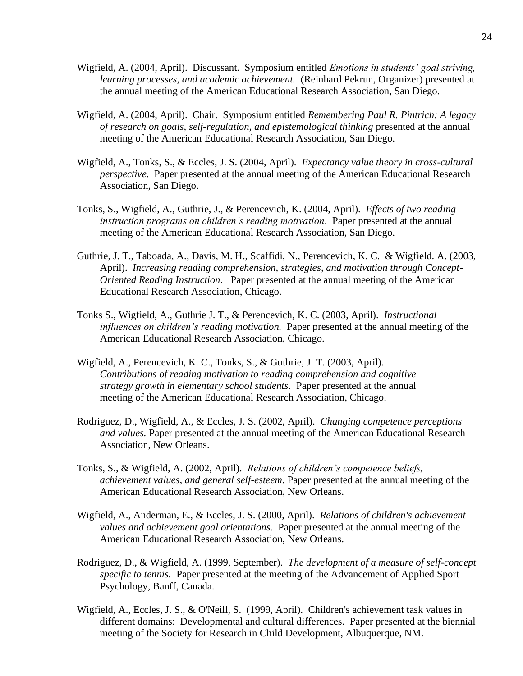- Wigfield, A. (2004, April). Discussant. Symposium entitled *Emotions in students' goal striving, learning processes, and academic achievement.* (Reinhard Pekrun, Organizer) presented at the annual meeting of the American Educational Research Association, San Diego.
- Wigfield, A. (2004, April). Chair. Symposium entitled *Remembering Paul R. Pintrich: A legacy of research on goals, self-regulation, and epistemological thinking* presented at the annual meeting of the American Educational Research Association, San Diego.
- Wigfield, A., Tonks, S., & Eccles, J. S. (2004, April). *Expectancy value theory in cross-cultural perspective*. Paper presented at the annual meeting of the American Educational Research Association, San Diego.
- Tonks, S., Wigfield, A., Guthrie, J., & Perencevich, K. (2004, April). *Effects of two reading instruction programs on children's reading motivation*. Paper presented at the annual meeting of the American Educational Research Association, San Diego.
- Guthrie, J. T., Taboada, A., Davis, M. H., Scaffidi, N., Perencevich, K. C. & Wigfield. A. (2003, April). *Increasing reading comprehension, strategies, and motivation through Concept-Oriented Reading Instruction*. Paper presented at the annual meeting of the American Educational Research Association, Chicago.
- Tonks S., Wigfield, A., Guthrie J. T., & Perencevich, K. C. (2003, April). *Instructional influences on children's reading motivation.* Paper presented at the annual meeting of the American Educational Research Association, Chicago.
- Wigfield, A., Perencevich, K. C., Tonks, S., & Guthrie, J. T. (2003, April). *Contributions of reading motivation to reading comprehension and cognitive strategy growth in elementary school students.* Paper presented at the annual meeting of the American Educational Research Association, Chicago.
- Rodriguez, D., Wigfield, A., & Eccles, J. S. (2002, April). *Changing competence perceptions and values.* Paper presented at the annual meeting of the American Educational Research Association, New Orleans.
- Tonks, S., & Wigfield, A. (2002, April). *Relations of children's competence beliefs, achievement values, and general self-esteem*. Paper presented at the annual meeting of the American Educational Research Association, New Orleans.
- Wigfield, A., Anderman, E., & Eccles, J. S. (2000, April). *Relations of children's achievement values and achievement goal orientations.* Paper presented at the annual meeting of the American Educational Research Association, New Orleans.
- Rodriguez, D., & Wigfield, A. (1999, September). *The development of a measure of self-concept specific to tennis.* Paper presented at the meeting of the Advancement of Applied Sport Psychology, Banff, Canada.
- Wigfield, A., Eccles, J. S., & O'Neill, S. (1999, April). Children's achievement task values in different domains: Developmental and cultural differences. Paper presented at the biennial meeting of the Society for Research in Child Development, Albuquerque, NM.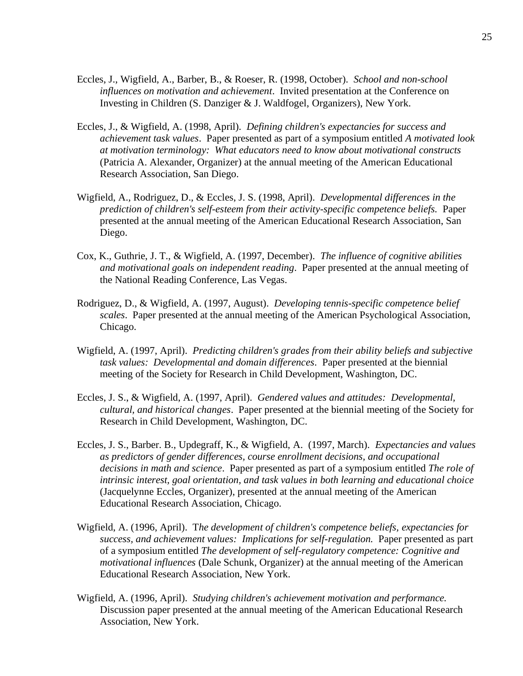- Eccles, J., Wigfield, A., Barber, B., & Roeser, R. (1998, October). *School and non-school influences on motivation and achievement*. Invited presentation at the Conference on Investing in Children (S. Danziger & J. Waldfogel, Organizers), New York.
- Eccles, J., & Wigfield, A. (1998, April). *Defining children's expectancies for success and achievement task values*. Paper presented as part of a symposium entitled *A motivated look at motivation terminology: What educators need to know about motivational constructs* (Patricia A. Alexander, Organizer) at the annual meeting of the American Educational Research Association, San Diego.
- Wigfield, A., Rodriguez, D., & Eccles, J. S. (1998, April). *Developmental differences in the prediction of children's self-esteem from their activity-specific competence beliefs.* Paper presented at the annual meeting of the American Educational Research Association, San Diego.
- Cox, K., Guthrie, J. T., & Wigfield, A. (1997, December). *The influence of cognitive abilities and motivational goals on independent reading*. Paper presented at the annual meeting of the National Reading Conference, Las Vegas.
- Rodriguez, D., & Wigfield, A. (1997, August). *Developing tennis-specific competence belief scales*. Paper presented at the annual meeting of the American Psychological Association, Chicago.
- Wigfield, A. (1997, April). *Predicting children's grades from their ability beliefs and subjective task values: Developmental and domain differences*. Paper presented at the biennial meeting of the Society for Research in Child Development, Washington, DC.
- Eccles, J. S., & Wigfield, A. (1997, April). *Gendered values and attitudes: Developmental, cultural, and historical changes*. Paper presented at the biennial meeting of the Society for Research in Child Development, Washington, DC.
- Eccles, J. S., Barber. B., Updegraff, K., & Wigfield, A. (1997, March). *Expectancies and values as predictors of gender differences, course enrollment decisions, and occupational decisions in math and science*. Paper presented as part of a symposium entitled *The role of intrinsic interest, goal orientation, and task values in both learning and educational choice* (Jacquelynne Eccles, Organizer), presented at the annual meeting of the American Educational Research Association, Chicago.
- Wigfield, A. (1996, April). T*he development of children's competence beliefs, expectancies for success, and achievement values: Implications for self-regulation.* Paper presented as part of a symposium entitled *The development of self-regulatory competence: Cognitive and motivational influences* (Dale Schunk, Organizer) at the annual meeting of the American Educational Research Association, New York.
- Wigfield, A. (1996, April). *Studying children's achievement motivation and performance.* Discussion paper presented at the annual meeting of the American Educational Research Association, New York.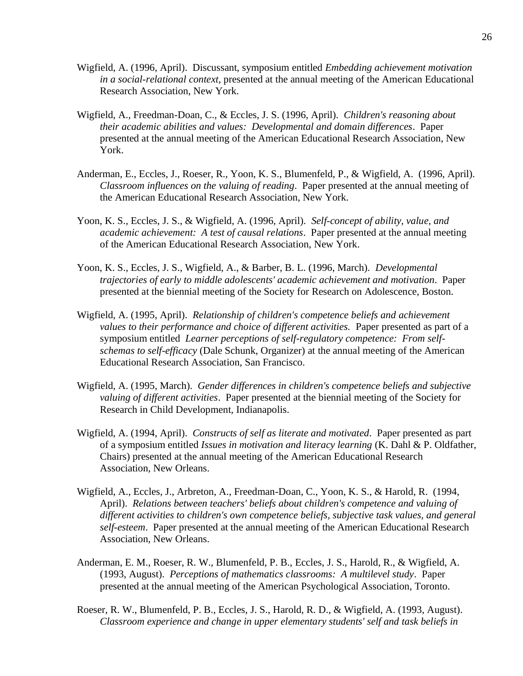- Wigfield, A. (1996, April). Discussant, symposium entitled *Embedding achievement motivation in a social-relational context*, presented at the annual meeting of the American Educational Research Association, New York.
- Wigfield, A., Freedman-Doan, C., & Eccles, J. S. (1996, April). *Children's reasoning about their academic abilities and values: Developmental and domain differences*. Paper presented at the annual meeting of the American Educational Research Association, New York.
- Anderman, E., Eccles, J., Roeser, R., Yoon, K. S., Blumenfeld, P., & Wigfield, A. (1996, April). *Classroom influences on the valuing of reading*. Paper presented at the annual meeting of the American Educational Research Association, New York.
- Yoon, K. S., Eccles, J. S., & Wigfield, A. (1996, April). *Self-concept of ability, value, and academic achievement: A test of causal relations*. Paper presented at the annual meeting of the American Educational Research Association, New York.
- Yoon, K. S., Eccles, J. S., Wigfield, A., & Barber, B. L. (1996, March). *Developmental trajectories of early to middle adolescents' academic achievement and motivation*. Paper presented at the biennial meeting of the Society for Research on Adolescence, Boston.
- Wigfield, A. (1995, April). *Relationship of children's competence beliefs and achievement values to their performance and choice of different activities.* Paper presented as part of a symposium entitled *Learner perceptions of self-regulatory competence: From selfschemas to self-efficacy* (Dale Schunk, Organizer) at the annual meeting of the American Educational Research Association, San Francisco.
- Wigfield, A. (1995, March). *Gender differences in children's competence beliefs and subjective valuing of different activities*. Paper presented at the biennial meeting of the Society for Research in Child Development, Indianapolis.
- Wigfield, A. (1994, April). *Constructs of self as literate and motivated*. Paper presented as part of a symposium entitled *Issues in motivation and literacy learning* (K. Dahl & P. Oldfather, Chairs) presented at the annual meeting of the American Educational Research Association, New Orleans.
- Wigfield, A., Eccles, J., Arbreton, A., Freedman-Doan, C., Yoon, K. S., & Harold, R. (1994, April). *Relations between teachers' beliefs about children's competence and valuing of different activities to children's own competence beliefs, subjective task values, and general self-esteem*. Paper presented at the annual meeting of the American Educational Research Association, New Orleans.
- Anderman, E. M., Roeser, R. W., Blumenfeld, P. B., Eccles, J. S., Harold, R., & Wigfield, A. (1993, August). *Perceptions of mathematics classrooms: A multilevel study*. Paper presented at the annual meeting of the American Psychological Association, Toronto.
- Roeser, R. W., Blumenfeld, P. B., Eccles, J. S., Harold, R. D., & Wigfield, A. (1993, August). *Classroom experience and change in upper elementary students' self and task beliefs in*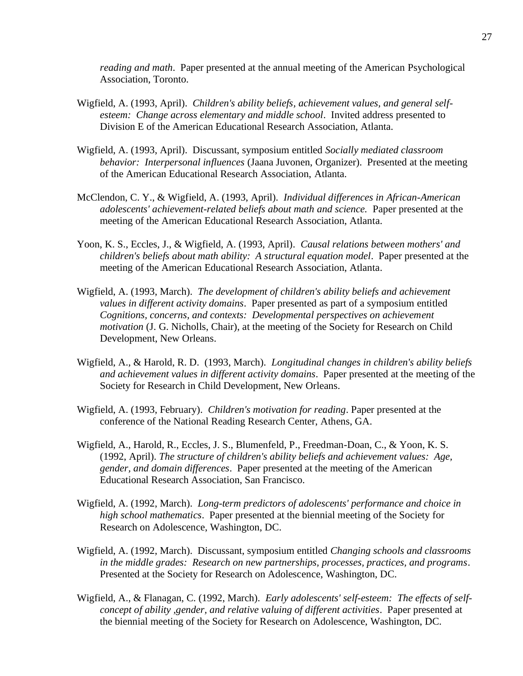*reading and math*. Paper presented at the annual meeting of the American Psychological Association, Toronto.

- Wigfield, A. (1993, April). *Children's ability beliefs, achievement values, and general selfesteem: Change across elementary and middle school*. Invited address presented to Division E of the American Educational Research Association, Atlanta.
- Wigfield, A. (1993, April). Discussant, symposium entitled *Socially mediated classroom behavior: Interpersonal influences* (Jaana Juvonen, Organizer). Presented at the meeting of the American Educational Research Association, Atlanta.
- McClendon, C. Y., & Wigfield, A. (1993, April). *Individual differences in African-American adolescents' achievement-related beliefs about math and science.* Paper presented at the meeting of the American Educational Research Association, Atlanta.
- Yoon, K. S., Eccles, J., & Wigfield, A. (1993, April). *Causal relations between mothers' and children's beliefs about math ability: A structural equation model*. Paper presented at the meeting of the American Educational Research Association, Atlanta.
- Wigfield, A. (1993, March). *The development of children's ability beliefs and achievement values in different activity domains*. Paper presented as part of a symposium entitled *Cognitions, concerns, and contexts: Developmental perspectives on achievement motivation* (J. G. Nicholls, Chair), at the meeting of the Society for Research on Child Development, New Orleans.
- Wigfield, A., & Harold, R. D. (1993, March). *Longitudinal changes in children's ability beliefs and achievement values in different activity domains*. Paper presented at the meeting of the Society for Research in Child Development, New Orleans.
- Wigfield, A. (1993, February). *Children's motivation for reading*. Paper presented at the conference of the National Reading Research Center, Athens, GA.
- Wigfield, A., Harold, R., Eccles, J. S., Blumenfeld, P., Freedman-Doan, C., & Yoon, K. S. (1992, April). *The structure of children's ability beliefs and achievement values: Age, gender, and domain differences*. Paper presented at the meeting of the American Educational Research Association, San Francisco.
- Wigfield, A. (1992, March). *Long-term predictors of adolescents' performance and choice in high school mathematics*. Paper presented at the biennial meeting of the Society for Research on Adolescence, Washington, DC.
- Wigfield, A. (1992, March). Discussant, symposium entitled *Changing schools and classrooms in the middle grades: Research on new partnerships, processes, practices, and programs*. Presented at the Society for Research on Adolescence, Washington, DC.
- Wigfield, A., & Flanagan, C. (1992, March). *Early adolescents' self-esteem: The effects of selfconcept of ability ,gender, and relative valuing of different activities*. Paper presented at the biennial meeting of the Society for Research on Adolescence, Washington, DC.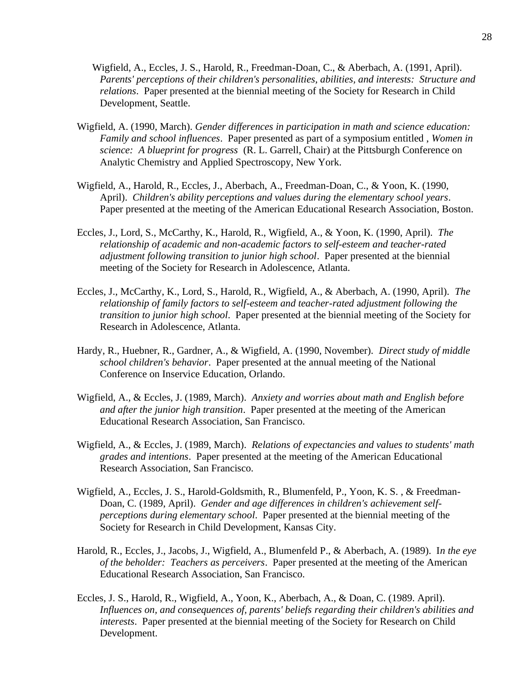- Wigfield, A., Eccles, J. S., Harold, R., Freedman-Doan, C., & Aberbach, A. (1991, April). *Parents' perceptions of their children's personalities, abilities, and interests: Structure and relations*. Paper presented at the biennial meeting of the Society for Research in Child Development, Seattle.
- Wigfield, A. (1990, March). *Gender differences in participation in math and science education: Family and school influences*. Paper presented as part of a symposium entitled , *Women in science: A blueprint for progress* (R. L. Garrell, Chair) at the Pittsburgh Conference on Analytic Chemistry and Applied Spectroscopy, New York.
- Wigfield, A., Harold, R., Eccles, J., Aberbach, A., Freedman-Doan, C., & Yoon, K. (1990, April). *Children's ability perceptions and values during the elementary school years*. Paper presented at the meeting of the American Educational Research Association, Boston.
- Eccles, J., Lord, S., McCarthy, K., Harold, R., Wigfield, A., & Yoon, K. (1990, April). *The relationship of academic and non-academic factors to self-esteem and teacher-rated adjustment following transition to junior high school*. Paper presented at the biennial meeting of the Society for Research in Adolescence, Atlanta.
- Eccles, J., McCarthy, K., Lord, S., Harold, R., Wigfield, A., & Aberbach, A. (1990, April). *The relationship of family factors to self-esteem and teacher-rated* a*djustment following the transition to junior high school*. Paper presented at the biennial meeting of the Society for Research in Adolescence, Atlanta.
- Hardy, R., Huebner, R., Gardner, A., & Wigfield, A. (1990, November). *Direct study of middle school children's behavior*. Paper presented at the annual meeting of the National Conference on Inservice Education, Orlando.
- Wigfield, A., & Eccles, J. (1989, March). *Anxiety and worries about math and English before and after the junior high transition*. Paper presented at the meeting of the American Educational Research Association, San Francisco.
- Wigfield, A., & Eccles, J. (1989, March). *Relations of expectancies and values to students' math grades and intentions*. Paper presented at the meeting of the American Educational Research Association, San Francisco.
- Wigfield, A., Eccles, J. S., Harold-Goldsmith, R., Blumenfeld, P., Yoon, K. S. , & Freedman-Doan, C. (1989, April). *Gender and age differences in children's achievement selfperceptions during elementary school*. Paper presented at the biennial meeting of the Society for Research in Child Development, Kansas City.
- Harold, R., Eccles, J., Jacobs, J., Wigfield, A., Blumenfeld P., & Aberbach, A. (1989). I*n the eye of the beholder: Teachers as perceivers*. Paper presented at the meeting of the American Educational Research Association, San Francisco.
- Eccles, J. S., Harold, R., Wigfield, A., Yoon, K., Aberbach, A., & Doan, C. (1989. April). *Influences on, and consequences of, parents' beliefs regarding their children's abilities and interests*. Paper presented at the biennial meeting of the Society for Research on Child Development.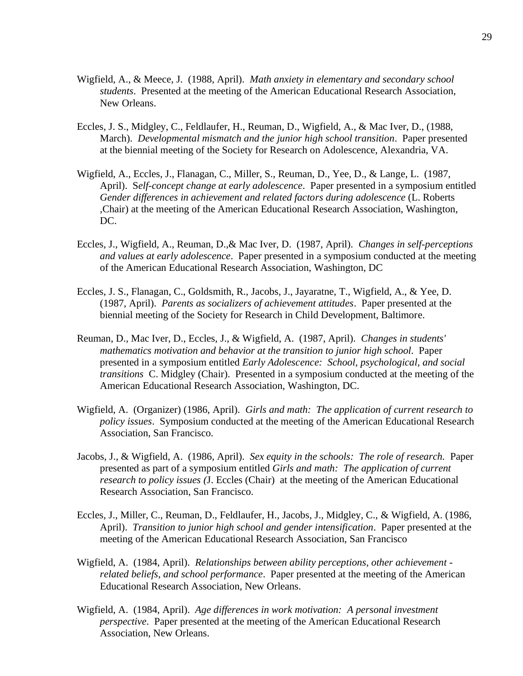- Wigfield, A., & Meece, J. (1988, April). *Math anxiety in elementary and secondary school students*. Presented at the meeting of the American Educational Research Association, New Orleans.
- Eccles, J. S., Midgley, C., Feldlaufer, H., Reuman, D., Wigfield, A., & Mac Iver, D., (1988, March). *Developmental mismatch and the junior high school transition*. Paper presented at the biennial meeting of the Society for Research on Adolescence, Alexandria, VA.
- Wigfield, A., Eccles, J., Flanagan, C., Miller, S., Reuman, D., Yee, D., & Lange, L. (1987, April). S*elf-concept change at early adolescence*. Paper presented in a symposium entitled *Gender differences in achievement and related factors during adolescence* (L. Roberts ,Chair) at the meeting of the American Educational Research Association, Washington, DC.
- Eccles, J., Wigfield, A., Reuman, D.,& Mac Iver, D. (1987, April). *Changes in self-perceptions and values at early adolescence*. Paper presented in a symposium conducted at the meeting of the American Educational Research Association, Washington, DC
- Eccles, J. S., Flanagan, C., Goldsmith, R., Jacobs, J., Jayaratne, T., Wigfield, A., & Yee, D. (1987, April). *Parents as socializers of achievement attitudes*. Paper presented at the biennial meeting of the Society for Research in Child Development, Baltimore.
- Reuman, D., Mac Iver, D., Eccles, J., & Wigfield, A. (1987, April). *Changes in students' mathematics motivation and behavior at the transition to junior high school*. Paper presented in a symposium entitled *Early Adolescence: School*, *psychological, and social transitions* C. Midgley (Chair). Presented in a symposium conducted at the meeting of the American Educational Research Association, Washington, DC.
- Wigfield, A. (Organizer) (1986, April). *Girls and math: The application of current research to policy issues*. Symposium conducted at the meeting of the American Educational Research Association, San Francisco.
- Jacobs, J., & Wigfield, A. (1986, April). *Sex equity in the schools: The role of research.* Paper presented as part of a symposium entitled *Girls and math: The application of current research to policy issues (*J. Eccles (Chair) at the meeting of the American Educational Research Association, San Francisco.
- Eccles, J., Miller, C., Reuman, D., Feldlaufer, H., Jacobs, J., Midgley, C., & Wigfield, A. (1986, April). *Transition to junior high school and gender intensification*. Paper presented at the meeting of the American Educational Research Association, San Francisco
- Wigfield, A. (1984, April). *Relationships between ability perceptions, other achievement related beliefs, and school performance*. Paper presented at the meeting of the American Educational Research Association, New Orleans.
- Wigfield, A. (1984, April). *Age differences in work motivation: A personal investment perspective*. Paper presented at the meeting of the American Educational Research Association, New Orleans.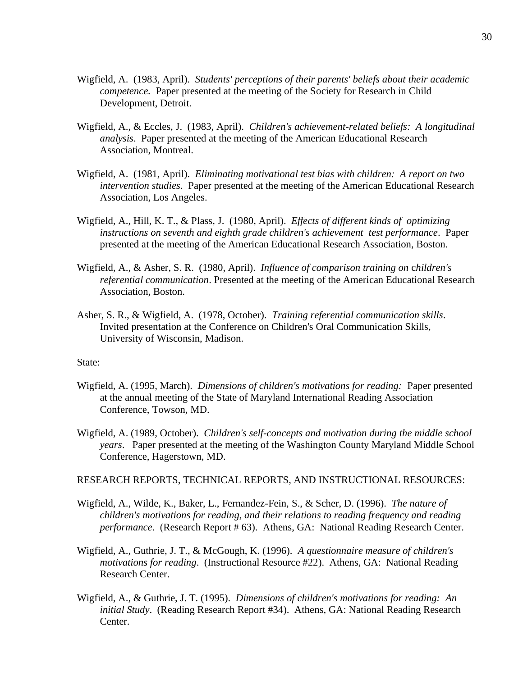- Wigfield, A. (1983, April). *Students' perceptions of their parents' beliefs about their academic competence.* Paper presented at the meeting of the Society for Research in Child Development, Detroit.
- Wigfield, A., & Eccles, J. (1983, April). *Children's achievement-related beliefs: A longitudinal analysis*. Paper presented at the meeting of the American Educational Research Association, Montreal.
- Wigfield, A. (1981, April). *Eliminating motivational test bias with children: A report on two intervention studies*. Paper presented at the meeting of the American Educational Research Association, Los Angeles.
- Wigfield, A., Hill, K. T., & Plass, J. (1980, April). *Effects of different kinds of optimizing instructions on seventh and eighth grade children's achievement test performance*. Paper presented at the meeting of the American Educational Research Association, Boston.
- Wigfield, A., & Asher, S. R. (1980, April). *Influence of comparison training on* c*hildren's referential communication*. Presented at the meeting of the American Educational Research Association, Boston.
- Asher, S. R., & Wigfield, A. (1978, October). *Training referential communication skills*. Invited presentation at the Conference on Children's Oral Communication Skills, University of Wisconsin, Madison.

#### State:

- Wigfield, A. (1995, March). *Dimensions of children's motivations for reading:* Paper presented at the annual meeting of the State of Maryland International Reading Association Conference, Towson, MD.
- Wigfield, A. (1989, October). *Children's self-concepts and motivation during the middle school years*. Paper presented at the meeting of the Washington County Maryland Middle School Conference, Hagerstown, MD.

#### RESEARCH REPORTS, TECHNICAL REPORTS, AND INSTRUCTIONAL RESOURCES:

- Wigfield, A., Wilde, K., Baker, L., Fernandez-Fein, S., & Scher, D. (1996). *The nature of children's motivations for reading, and their relations to reading frequency and reading performance*. (Research Report # 63). Athens, GA: National Reading Research Center.
- Wigfield, A., Guthrie, J. T., & McGough, K. (1996). *A questionnaire measure of children's motivations for reading*. (Instructional Resource #22). Athens, GA: National Reading Research Center.
- Wigfield, A., & Guthrie, J. T. (1995). *Dimensions of children's motivations for reading: An initial Study*. (Reading Research Report #34). Athens, GA: National Reading Research Center.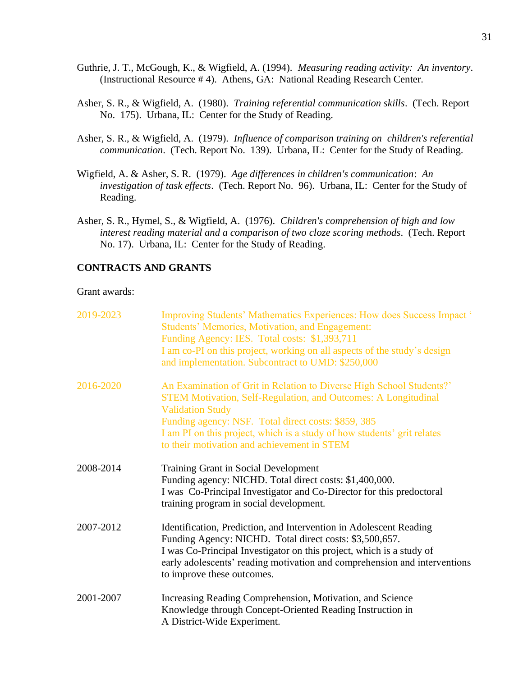- Guthrie, J. T., McGough, K., & Wigfield, A. (1994). *Measuring reading activity: An inventory*. (Instructional Resource # 4). Athens, GA: National Reading Research Center.
- Asher, S. R., & Wigfield, A. (1980). *Training referential communication skills*. (Tech. Report No. 175). Urbana, IL: Center for the Study of Reading.
- Asher, S. R., & Wigfield, A. (1979). *Influence of comparison training on children's referential communication*. (Tech. Report No. 139). Urbana, IL: Center for the Study of Reading.
- Wigfield, A. & Asher, S. R. (1979). *Age differences in children's communication*: *An investigation of task effects*. (Tech. Report No. 96). Urbana, IL: Center for the Study of Reading.
- Asher, S. R., Hymel, S., & Wigfield, A. (1976). *Children's comprehension of high and low interest reading material and a comparison of two cloze scoring methods*. (Tech. Report No. 17). Urbana, IL: Center for the Study of Reading.

## **CONTRACTS AND GRANTS**

Grant awards:

| 2019-2023 | Improving Students' Mathematics Experiences: How does Success Impact '<br><b>Students' Memories, Motivation, and Engagement:</b><br>Funding Agency: IES. Total costs: \$1,393,711<br>I am co-PI on this project, working on all aspects of the study's design<br>and implementation. Subcontract to UMD: \$250,000                                        |
|-----------|-----------------------------------------------------------------------------------------------------------------------------------------------------------------------------------------------------------------------------------------------------------------------------------------------------------------------------------------------------------|
| 2016-2020 | An Examination of Grit in Relation to Diverse High School Students?'<br><b>STEM Motivation, Self-Regulation, and Outcomes: A Longitudinal</b><br><b>Validation Study</b><br>Funding agency: NSF. Total direct costs: \$859, 385<br>I am PI on this project, which is a study of how students' grit relates<br>to their motivation and achievement in STEM |
| 2008-2014 | Training Grant in Social Development<br>Funding agency: NICHD. Total direct costs: \$1,400,000.<br>I was Co-Principal Investigator and Co-Director for this predoctoral<br>training program in social development.                                                                                                                                        |
| 2007-2012 | Identification, Prediction, and Intervention in Adolescent Reading<br>Funding Agency: NICHD. Total direct costs: \$3,500,657.<br>I was Co-Principal Investigator on this project, which is a study of<br>early adolescents' reading motivation and comprehension and interventions<br>to improve these outcomes.                                          |
| 2001-2007 | Increasing Reading Comprehension, Motivation, and Science<br>Knowledge through Concept-Oriented Reading Instruction in<br>A District-Wide Experiment.                                                                                                                                                                                                     |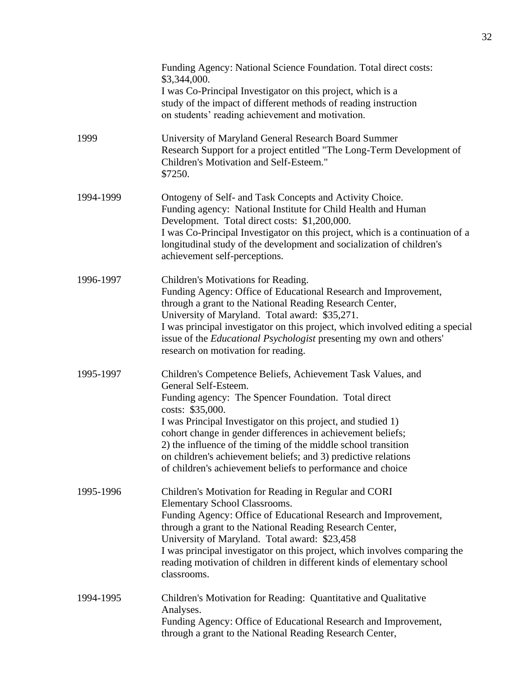|           | Funding Agency: National Science Foundation. Total direct costs:<br>\$3,344,000.<br>I was Co-Principal Investigator on this project, which is a<br>study of the impact of different methods of reading instruction<br>on students' reading achievement and motivation.                                                                                                                                                                                                                            |
|-----------|---------------------------------------------------------------------------------------------------------------------------------------------------------------------------------------------------------------------------------------------------------------------------------------------------------------------------------------------------------------------------------------------------------------------------------------------------------------------------------------------------|
| 1999      | University of Maryland General Research Board Summer<br>Research Support for a project entitled "The Long-Term Development of<br>Children's Motivation and Self-Esteem."<br>\$7250.                                                                                                                                                                                                                                                                                                               |
| 1994-1999 | Ontogeny of Self- and Task Concepts and Activity Choice.<br>Funding agency: National Institute for Child Health and Human<br>Development. Total direct costs: \$1,200,000.<br>I was Co-Principal Investigator on this project, which is a continuation of a<br>longitudinal study of the development and socialization of children's<br>achievement self-perceptions.                                                                                                                             |
| 1996-1997 | Children's Motivations for Reading.<br>Funding Agency: Office of Educational Research and Improvement,<br>through a grant to the National Reading Research Center,<br>University of Maryland. Total award: \$35,271.<br>I was principal investigator on this project, which involved editing a special<br>issue of the <i>Educational Psychologist</i> presenting my own and others'<br>research on motivation for reading.                                                                       |
| 1995-1997 | Children's Competence Beliefs, Achievement Task Values, and<br>General Self-Esteem.<br>Funding agency: The Spencer Foundation. Total direct<br>costs: \$35,000.<br>I was Principal Investigator on this project, and studied 1)<br>cohort change in gender differences in achievement beliefs;<br>2) the influence of the timing of the middle school transition<br>on children's achievement beliefs; and 3) predictive relations<br>of children's achievement beliefs to performance and choice |
| 1995-1996 | Children's Motivation for Reading in Regular and CORI<br>Elementary School Classrooms.<br>Funding Agency: Office of Educational Research and Improvement,<br>through a grant to the National Reading Research Center,<br>University of Maryland. Total award: \$23,458<br>I was principal investigator on this project, which involves comparing the<br>reading motivation of children in different kinds of elementary school<br>classrooms.                                                     |
| 1994-1995 | Children's Motivation for Reading: Quantitative and Qualitative<br>Analyses.<br>Funding Agency: Office of Educational Research and Improvement,<br>through a grant to the National Reading Research Center,                                                                                                                                                                                                                                                                                       |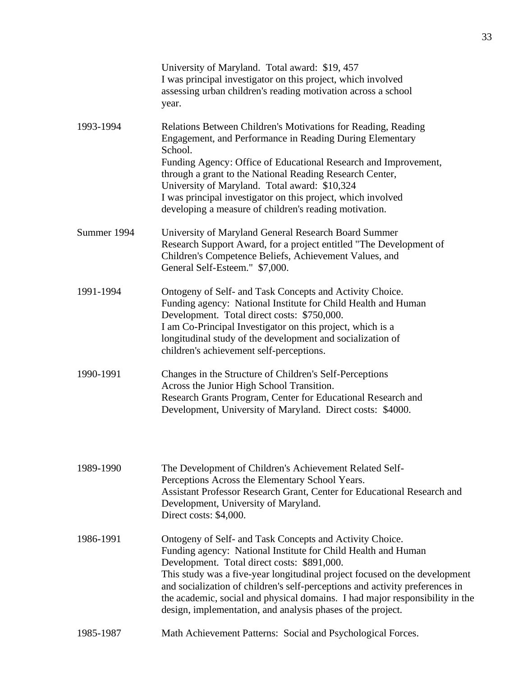|             | University of Maryland. Total award: \$19, 457<br>I was principal investigator on this project, which involved<br>assessing urban children's reading motivation across a school<br>year.                                                                                                                                                                                                                                                                                              |
|-------------|---------------------------------------------------------------------------------------------------------------------------------------------------------------------------------------------------------------------------------------------------------------------------------------------------------------------------------------------------------------------------------------------------------------------------------------------------------------------------------------|
| 1993-1994   | Relations Between Children's Motivations for Reading, Reading<br>Engagement, and Performance in Reading During Elementary<br>School.<br>Funding Agency: Office of Educational Research and Improvement,<br>through a grant to the National Reading Research Center,<br>University of Maryland. Total award: \$10,324<br>I was principal investigator on this project, which involved<br>developing a measure of children's reading motivation.                                        |
| Summer 1994 | University of Maryland General Research Board Summer<br>Research Support Award, for a project entitled "The Development of<br>Children's Competence Beliefs, Achievement Values, and<br>General Self-Esteem." \$7,000.                                                                                                                                                                                                                                                                |
| 1991-1994   | Ontogeny of Self- and Task Concepts and Activity Choice.<br>Funding agency: National Institute for Child Health and Human<br>Development. Total direct costs: \$750,000.<br>I am Co-Principal Investigator on this project, which is a<br>longitudinal study of the development and socialization of<br>children's achievement self-perceptions.                                                                                                                                      |
| 1990-1991   | Changes in the Structure of Children's Self-Perceptions<br>Across the Junior High School Transition.<br>Research Grants Program, Center for Educational Research and<br>Development, University of Maryland. Direct costs: \$4000.                                                                                                                                                                                                                                                    |
| 1989-1990   | The Development of Children's Achievement Related Self-<br>Perceptions Across the Elementary School Years.<br>Assistant Professor Research Grant, Center for Educational Research and<br>Development, University of Maryland.<br>Direct costs: \$4,000.                                                                                                                                                                                                                               |
| 1986-1991   | Ontogeny of Self- and Task Concepts and Activity Choice.<br>Funding agency: National Institute for Child Health and Human<br>Development. Total direct costs: \$891,000.<br>This study was a five-year longitudinal project focused on the development<br>and socialization of children's self-perceptions and activity preferences in<br>the academic, social and physical domains. I had major responsibility in the<br>design, implementation, and analysis phases of the project. |
| 1985-1987   | Math Achievement Patterns: Social and Psychological Forces.                                                                                                                                                                                                                                                                                                                                                                                                                           |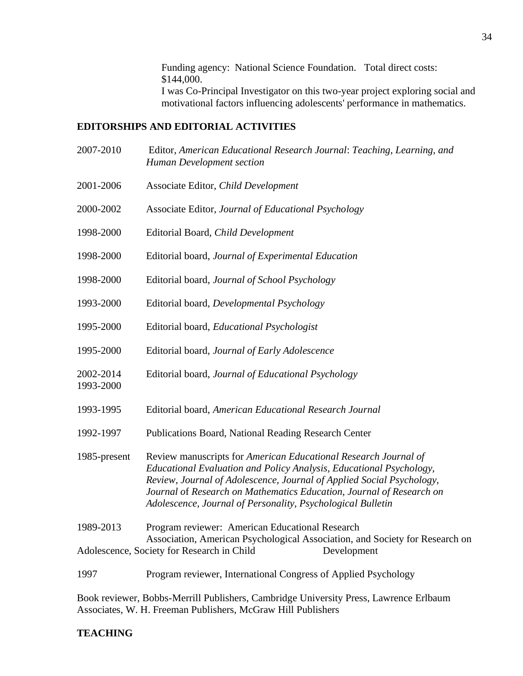Funding agency: National Science Foundation. Total direct costs: \$144,000. I was Co-Principal Investigator on this two-year project exploring social and motivational factors influencing adolescents' performance in mathematics.

## **EDITORSHIPS AND EDITORIAL ACTIVITIES**

- 2007-2010 Editor, *American Educational Research Journal*: *Teaching, Learning, and Human Development section*
- 2001-2006 Associate Editor, *Child Development*
- 2000-2002 Associate Editor, *Journal of Educational Psychology*
- 1998-2000 Editorial Board, *Child Development*
- 1998-2000 Editorial board, *Journal of Experimental Education*
- 1998-2000 Editorial board, *Journal of School Psychology*
- 1993-2000 Editorial board, *Developmental Psychology*
- 1995-2000 Editorial board, *Educational Psychologist*
- 1995-2000 Editorial board, *Journal of Early Adolescence*
- 2002-2014 Editorial board, *Journal of Educational Psychology*
- 1993-1995 Editorial board, *American Educational Research Journal*
- 1992-1997 Publications Board, National Reading Research Center

1985-present Review manuscripts for *American Educational Research Journal of Educational Evaluation and Policy Analysis, Educational Psychology, Review, Journal of Adolescence, Journal of Applied Social Psychology, Journal o*f *Research on Mathematics Education, Journal of Research on Adolescence, Journal of Personality, Psychological Bulletin*

1989-2013 Program reviewer: American Educational Research Association, American Psychological Association, and Society for Research on Adolescence, Society for Research in Child Development

1997 Program reviewer, International Congress of Applied Psychology

Book reviewer, Bobbs-Merrill Publishers, Cambridge University Press, Lawrence Erlbaum Associates, W. H. Freeman Publishers, McGraw Hill Publishers

#### **TEACHING**

1993-2000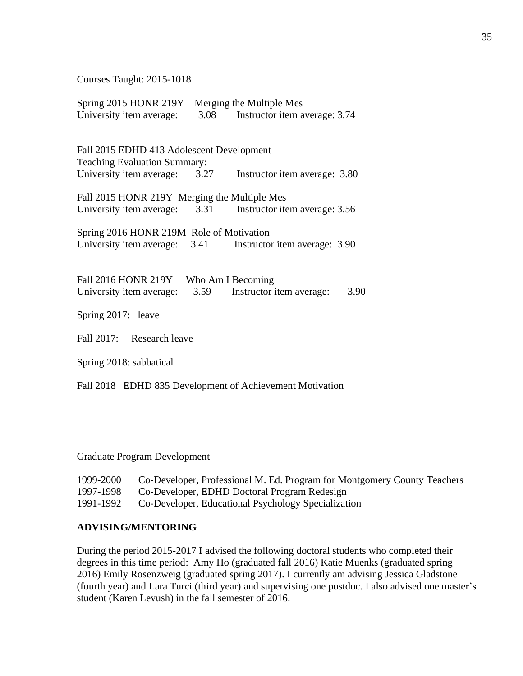Courses Taught: 2015-1018

| Spring 2015 HONR 219Y Merging the Multiple Mes |      |                                                             |      |
|------------------------------------------------|------|-------------------------------------------------------------|------|
| University item average:                       | 3.08 | Instructor item average: 3.74                               |      |
|                                                |      |                                                             |      |
| Fall 2015 EDHD 413 Adolescent Development      |      |                                                             |      |
| <b>Teaching Evaluation Summary:</b>            |      |                                                             |      |
| University item average:                       | 3.27 | Instructor item average: 3.80                               |      |
|                                                |      |                                                             |      |
| Fall 2015 HONR 219Y Merging the Multiple Mes   |      |                                                             |      |
| University item average:                       | 3.31 | Instructor item average: 3.56                               |      |
| Spring 2016 HONR 219M Role of Motivation       |      |                                                             |      |
|                                                |      |                                                             |      |
|                                                |      | University item average: 3.41 Instructor item average: 3.90 |      |
|                                                |      |                                                             |      |
| <b>Fall 2016 HONR 219Y</b>                     |      | Who Am I Becoming                                           |      |
| University item average:                       | 3.59 | Instructor item average:                                    | 3.90 |
|                                                |      |                                                             |      |
| Spring 2017: leave                             |      |                                                             |      |
| Fall 2017: Research leave                      |      |                                                             |      |
|                                                |      |                                                             |      |
| Spring 2018: sabbatical                        |      |                                                             |      |
|                                                |      |                                                             |      |
| Fall 2018                                      |      | EDHD 835 Development of Achievement Motivation              |      |

Graduate Program Development

| 1999-2000 | Co-Developer, Professional M. Ed. Program for Montgomery County Teachers |
|-----------|--------------------------------------------------------------------------|
| 1997-1998 | Co-Developer, EDHD Doctoral Program Redesign                             |
| 1991-1992 | Co-Developer, Educational Psychology Specialization                      |

## **ADVISING/MENTORING**

During the period 2015-2017 I advised the following doctoral students who completed their degrees in this time period: Amy Ho (graduated fall 2016) Katie Muenks (graduated spring 2016) Emily Rosenzweig (graduated spring 2017). I currently am advising Jessica Gladstone (fourth year) and Lara Turci (third year) and supervising one postdoc. I also advised one master's student (Karen Levush) in the fall semester of 2016.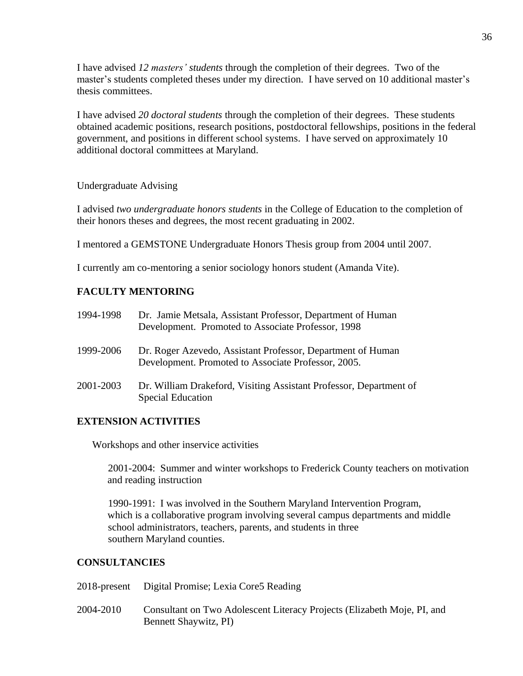I have advised *12 masters' students* through the completion of their degrees. Two of the master's students completed theses under my direction. I have served on 10 additional master's thesis committees.

I have advised *20 doctoral students* through the completion of their degrees. These students obtained academic positions, research positions, postdoctoral fellowships, positions in the federal government, and positions in different school systems. I have served on approximately 10 additional doctoral committees at Maryland.

Undergraduate Advising

I advised *two undergraduate honors students* in the College of Education to the completion of their honors theses and degrees, the most recent graduating in 2002.

I mentored a GEMSTONE Undergraduate Honors Thesis group from 2004 until 2007.

I currently am co-mentoring a senior sociology honors student (Amanda Vite).

## **FACULTY MENTORING**

| 1994-1998 | Dr. Jamie Metsala, Assistant Professor, Department of Human<br>Development. Promoted to Associate Professor, 1998  |
|-----------|--------------------------------------------------------------------------------------------------------------------|
| 1999-2006 | Dr. Roger Azevedo, Assistant Professor, Department of Human<br>Development. Promoted to Associate Professor, 2005. |
| 2001-2003 | Dr. William Drakeford, Visiting Assistant Professor, Department of<br><b>Special Education</b>                     |

## **EXTENSION ACTIVITIES**

Workshops and other inservice activities

2001-2004: Summer and winter workshops to Frederick County teachers on motivation and reading instruction

1990-1991: I was involved in the Southern Maryland Intervention Program, which is a collaborative program involving several campus departments and middle school administrators, teachers, parents, and students in three southern Maryland counties.

## **CONSULTANCIES**

2018-present Digital Promise; Lexia Core5 Reading

2004-2010 Consultant on Two Adolescent Literacy Projects (Elizabeth Moje, PI, and Bennett Shaywitz, PI)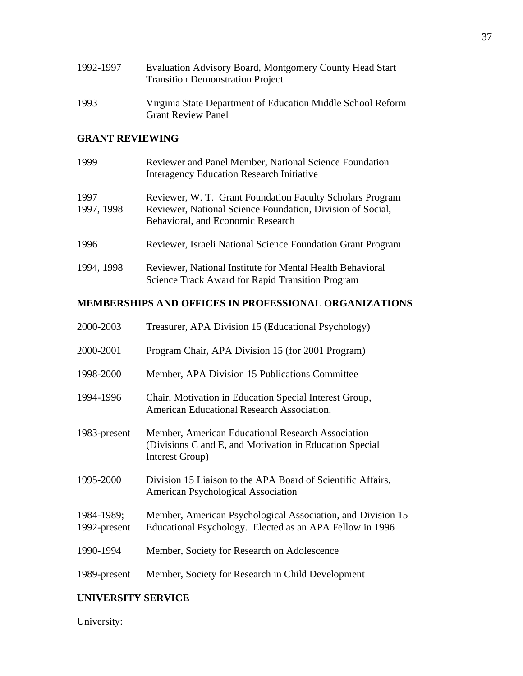| 1992-1997 | Evaluation Advisory Board, Montgomery County Head Start<br><b>Transition Demonstration Project</b> |
|-----------|----------------------------------------------------------------------------------------------------|
| 1993      | Virginia State Department of Education Middle School Reform<br><b>Grant Review Panel</b>           |

# **GRANT REVIEWING**

| 1999               | Reviewer and Panel Member, National Science Foundation<br><b>Interagency Education Research Initiative</b>                                                   |
|--------------------|--------------------------------------------------------------------------------------------------------------------------------------------------------------|
| 1997<br>1997, 1998 | Reviewer, W. T. Grant Foundation Faculty Scholars Program<br>Reviewer, National Science Foundation, Division of Social,<br>Behavioral, and Economic Research |
| 1996               | Reviewer, Israeli National Science Foundation Grant Program                                                                                                  |
| 1994, 1998         | Reviewer, National Institute for Mental Health Behavioral<br><b>Science Track Award for Rapid Transition Program</b>                                         |

# **MEMBERSHIPS AND OFFICES IN PROFESSIONAL ORGANIZATIONS**

| 2000-2003                  | Treasurer, APA Division 15 (Educational Psychology)                                                                             |
|----------------------------|---------------------------------------------------------------------------------------------------------------------------------|
| 2000-2001                  | Program Chair, APA Division 15 (for 2001 Program)                                                                               |
| 1998-2000                  | Member, APA Division 15 Publications Committee                                                                                  |
| 1994-1996                  | Chair, Motivation in Education Special Interest Group,<br>American Educational Research Association.                            |
| 1983-present               | Member, American Educational Research Association<br>(Divisions C and E, and Motivation in Education Special<br>Interest Group) |
| 1995-2000                  | Division 15 Liaison to the APA Board of Scientific Affairs,<br>American Psychological Association                               |
| 1984-1989;<br>1992-present | Member, American Psychological Association, and Division 15<br>Educational Psychology. Elected as an APA Fellow in 1996         |
| 1990-1994                  | Member, Society for Research on Adolescence                                                                                     |
| 1989-present               | Member, Society for Research in Child Development                                                                               |

# **UNIVERSITY SERVICE**

University: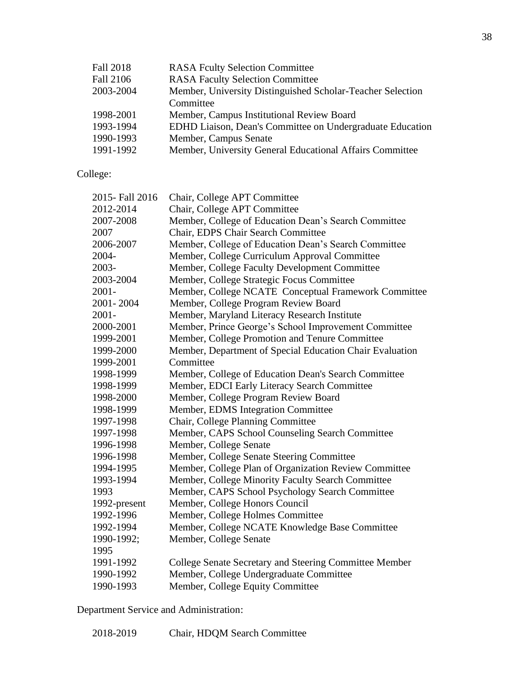| Fall 2018 | <b>RASA Fculty Selection Committee</b>                     |
|-----------|------------------------------------------------------------|
| Fall 2106 | <b>RASA Faculty Selection Committee</b>                    |
| 2003-2004 | Member, University Distinguished Scholar-Teacher Selection |
|           | Committee                                                  |
| 1998-2001 | Member, Campus Institutional Review Board                  |
| 1993-1994 | EDHD Liaison, Dean's Committee on Undergraduate Education  |
| 1990-1993 | Member, Campus Senate                                      |
| 1991-1992 | Member, University General Educational Affairs Committee   |
|           |                                                            |

College:

| 2015- Fall 2016 | Chair, College APT Committee                             |
|-----------------|----------------------------------------------------------|
| 2012-2014       | Chair, College APT Committee                             |
| 2007-2008       | Member, College of Education Dean's Search Committee     |
| 2007            | Chair, EDPS Chair Search Committee                       |
| 2006-2007       | Member, College of Education Dean's Search Committee     |
| 2004-           | Member, College Curriculum Approval Committee            |
| 2003-           | Member, College Faculty Development Committee            |
| 2003-2004       | Member, College Strategic Focus Committee                |
| $2001 -$        | Member, College NCATE Conceptual Framework Committee     |
| 2001-2004       | Member, College Program Review Board                     |
| $2001 -$        | Member, Maryland Literacy Research Institute             |
| 2000-2001       | Member, Prince George's School Improvement Committee     |
| 1999-2001       | Member, College Promotion and Tenure Committee           |
| 1999-2000       | Member, Department of Special Education Chair Evaluation |
| 1999-2001       | Committee                                                |
| 1998-1999       | Member, College of Education Dean's Search Committee     |
| 1998-1999       | Member, EDCI Early Literacy Search Committee             |
| 1998-2000       | Member, College Program Review Board                     |
| 1998-1999       | Member, EDMS Integration Committee                       |
| 1997-1998       | Chair, College Planning Committee                        |
| 1997-1998       | Member, CAPS School Counseling Search Committee          |
| 1996-1998       | Member, College Senate                                   |
| 1996-1998       | Member, College Senate Steering Committee                |
| 1994-1995       | Member, College Plan of Organization Review Committee    |
| 1993-1994       | Member, College Minority Faculty Search Committee        |
| 1993            | Member, CAPS School Psychology Search Committee          |
| 1992-present    | Member, College Honors Council                           |
| 1992-1996       | Member, College Holmes Committee                         |
| 1992-1994       | Member, College NCATE Knowledge Base Committee           |
| 1990-1992;      | Member, College Senate                                   |
| 1995            |                                                          |
| 1991-1992       | College Senate Secretary and Steering Committee Member   |
| 1990-1992       | Member, College Undergraduate Committee                  |
| 1990-1993       | Member, College Equity Committee                         |

Department Service and Administration:

2018-2019 Chair, HDQM Search Committee